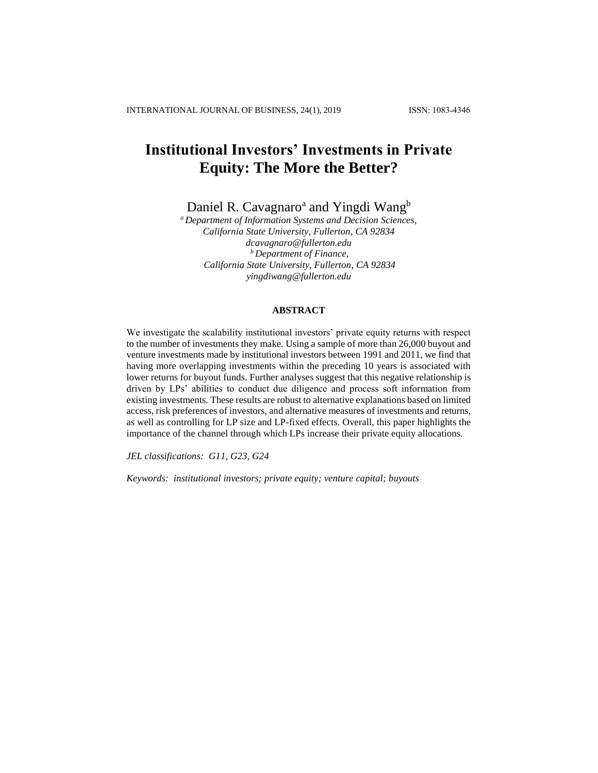# **Institutional Investors' Investments in Private Equity: The More the Better?**

Daniel R. Cavagnaro<sup>a</sup> and Yingdi Wang<sup>b</sup>

*<sup>a</sup>Department of Information Systems and Decision Sciences, California State University, Fullerton, CA 92834 dcavagnaro@fullerton.edu <sup>b</sup> Department of Finance, California State University, Fullerton, CA 92834 yingdiwang@fullerton.edu*

#### **ABSTRACT**

We investigate the scalability institutional investors' private equity returns with respect to the number of investments they make. Using a sample of more than 26,000 buyout and venture investments made by institutional investors between 1991 and 2011, we find that having more overlapping investments within the preceding 10 years is associated with lower returns for buyout funds. Further analyses suggest that this negative relationship is driven by LPs' abilities to conduct due diligence and process soft information from existing investments. These results are robust to alternative explanations based on limited access, risk preferences of investors, and alternative measures of investments and returns, as well as controlling for LP size and LP-fixed effects. Overall, this paper highlights the importance of the channel through which LPs increase their private equity allocations.

*JEL classifications: G11, G23, G24*

*Keywords: institutional investors; private equity; venture capital; buyouts*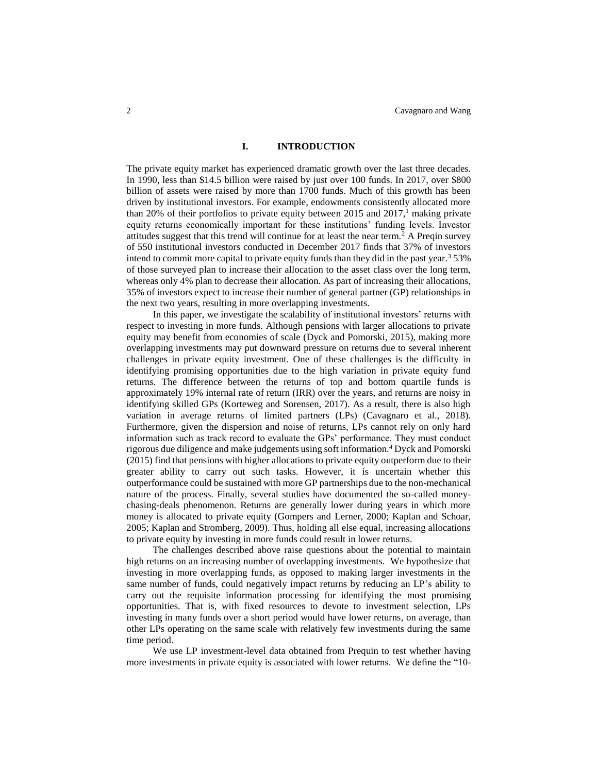### **I. INTRODUCTION**

The private equity market has experienced dramatic growth over the last three decades. In 1990, less than \$14.5 billion were raised by just over 100 funds. In 2017, over \$800 billion of assets were raised by more than 1700 funds. Much of this growth has been driven by institutional investors. For example, endowments consistently allocated more than 20% of their portfolios to private equity between 2015 and  $2017<sup>1</sup>$  making private equity returns economically important for these institutions' funding levels. Investor attitudes suggest that this trend will continue for at least the near term.<sup>2</sup> A Preqin survey of 550 institutional investors conducted in December 2017 finds that 37% of investors intend to commit more capital to private equity funds than they did in the past year. $3\frac{53}{%}$ of those surveyed plan to increase their allocation to the asset class over the long term, whereas only 4% plan to decrease their allocation. As part of increasing their allocations, 35% of investors expect to increase their number of general partner (GP) relationships in the next two years, resulting in more overlapping investments.

In this paper, we investigate the scalability of institutional investors' returns with respect to investing in more funds. Although pensions with larger allocations to private equity may benefit from economies of scale (Dyck and Pomorski, 2015), making more overlapping investments may put downward pressure on returns due to several inherent challenges in private equity investment. One of these challenges is the difficulty in identifying promising opportunities due to the high variation in private equity fund returns. The difference between the returns of top and bottom quartile funds is approximately 19% internal rate of return (IRR) over the years, and returns are noisy in identifying skilled GPs (Korteweg and Sorensen, 2017). As a result, there is also high variation in average returns of limited partners (LPs) (Cavagnaro et al., 2018). Furthermore, given the dispersion and noise of returns, LPs cannot rely on only hard information such as track record to evaluate the GPs' performance. They must conduct rigorous due diligence and make judgements using soft information.<sup>4</sup> Dyck and Pomorski (2015) find that pensions with higher allocations to private equity outperform due to their greater ability to carry out such tasks. However, it is uncertain whether this outperformance could be sustained with more GP partnerships due to the non-mechanical nature of the process. Finally, several studies have documented the so-called moneychasing-deals phenomenon. Returns are generally lower during years in which more money is allocated to private equity (Gompers and Lerner, 2000; Kaplan and Schoar, 2005; Kaplan and Stromberg, 2009). Thus, holding all else equal, increasing allocations to private equity by investing in more funds could result in lower returns.

The challenges described above raise questions about the potential to maintain high returns on an increasing number of overlapping investments. We hypothesize that investing in more overlapping funds, as opposed to making larger investments in the same number of funds, could negatively impact returns by reducing an LP's ability to carry out the requisite information processing for identifying the most promising opportunities. That is, with fixed resources to devote to investment selection, LPs investing in many funds over a short period would have lower returns, on average, than other LPs operating on the same scale with relatively few investments during the same time period.

We use LP investment-level data obtained from Prequin to test whether having more investments in private equity is associated with lower returns. We define the "10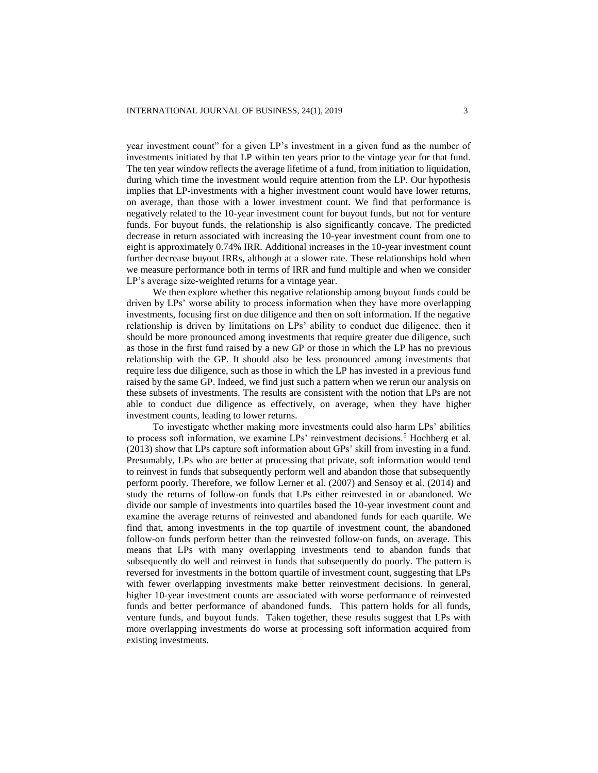year investment count" for a given LP's investment in a given fund as the number of investments initiated by that LP within ten years prior to the vintage year for that fund. The ten year window reflects the average lifetime of a fund, from initiation to liquidation, during which time the investment would require attention from the LP. Our hypothesis implies that LP-investments with a higher investment count would have lower returns, on average, than those with a lower investment count. We find that performance is negatively related to the 10-year investment count for buyout funds, but not for venture funds. For buyout funds, the relationship is also significantly concave. The predicted decrease in return associated with increasing the 10-year investment count from one to eight is approximately 0.74% IRR. Additional increases in the 10-year investment count further decrease buyout IRRs, although at a slower rate. These relationships hold when we measure performance both in terms of IRR and fund multiple and when we consider LP's average size-weighted returns for a vintage year.

We then explore whether this negative relationship among buyout funds could be driven by LPs' worse ability to process information when they have more overlapping investments, focusing first on due diligence and then on soft information. If the negative relationship is driven by limitations on LPs' ability to conduct due diligence, then it should be more pronounced among investments that require greater due diligence, such as those in the first fund raised by a new GP or those in which the LP has no previous relationship with the GP. It should also be less pronounced among investments that require less due diligence, such as those in which the LP has invested in a previous fund raised by the same GP. Indeed, we find just such a pattern when we rerun our analysis on these subsets of investments. The results are consistent with the notion that LPs are not able to conduct due diligence as effectively, on average, when they have higher investment counts, leading to lower returns.

To investigate whether making more investments could also harm LPs' abilities to process soft information, we examine LPs' reinvestment decisions.<sup>5</sup> Hochberg et al. (2013) show that LPs capture soft information about GPs' skill from investing in a fund. Presumably, LPs who are better at processing that private, soft information would tend to reinvest in funds that subsequently perform well and abandon those that subsequently perform poorly. Therefore, we follow Lerner et al. (2007) and Sensoy et al. (2014) and study the returns of follow-on funds that LPs either reinvested in or abandoned. We divide our sample of investments into quartiles based the 10-year investment count and examine the average returns of reinvested and abandoned funds for each quartile. We find that, among investments in the top quartile of investment count, the abandoned follow-on funds perform better than the reinvested follow-on funds, on average. This means that LPs with many overlapping investments tend to abandon funds that subsequently do well and reinvest in funds that subsequently do poorly. The pattern is reversed for investments in the bottom quartile of investment count, suggesting that LPs with fewer overlapping investments make better reinvestment decisions. In general, higher 10-year investment counts are associated with worse performance of reinvested funds and better performance of abandoned funds. This pattern holds for all funds, venture funds, and buyout funds. Taken together, these results suggest that LPs with more overlapping investments do worse at processing soft information acquired from existing investments.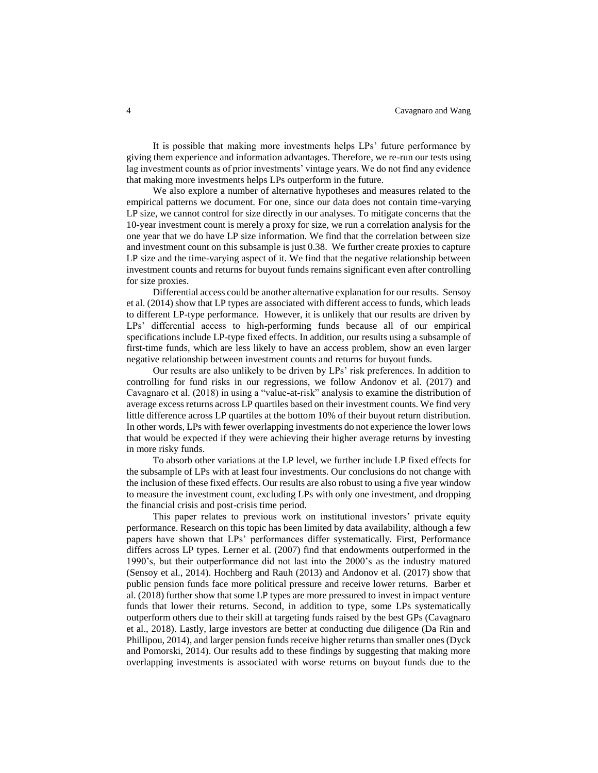It is possible that making more investments helps LPs' future performance by giving them experience and information advantages. Therefore, we re-run our tests using lag investment counts as of prior investments' vintage years. We do not find any evidence that making more investments helps LPs outperform in the future.

We also explore a number of alternative hypotheses and measures related to the empirical patterns we document. For one, since our data does not contain time-varying LP size, we cannot control for size directly in our analyses. To mitigate concerns that the 10-year investment count is merely a proxy for size, we run a correlation analysis for the one year that we do have LP size information. We find that the correlation between size and investment count on this subsample is just 0.38. We further create proxies to capture LP size and the time-varying aspect of it. We find that the negative relationship between investment counts and returns for buyout funds remains significant even after controlling for size proxies.

Differential access could be another alternative explanation for our results. Sensoy et al. (2014) show that LP types are associated with different access to funds, which leads to different LP-type performance. However, it is unlikely that our results are driven by LPs' differential access to high-performing funds because all of our empirical specifications include LP-type fixed effects. In addition, our results using a subsample of first-time funds, which are less likely to have an access problem, show an even larger negative relationship between investment counts and returns for buyout funds.

Our results are also unlikely to be driven by LPs' risk preferences. In addition to controlling for fund risks in our regressions, we follow Andonov et al. (2017) and Cavagnaro et al. (2018) in using a "value-at-risk" analysis to examine the distribution of average excess returns across LP quartiles based on their investment counts. We find very little difference across LP quartiles at the bottom 10% of their buyout return distribution. In other words, LPs with fewer overlapping investments do not experience the lower lows that would be expected if they were achieving their higher average returns by investing in more risky funds.

To absorb other variations at the LP level, we further include LP fixed effects for the subsample of LPs with at least four investments. Our conclusions do not change with the inclusion of these fixed effects. Our results are also robust to using a five year window to measure the investment count, excluding LPs with only one investment, and dropping the financial crisis and post-crisis time period.

This paper relates to previous work on institutional investors' private equity performance. Research on this topic has been limited by data availability, although a few papers have shown that LPs' performances differ systematically. First, Performance differs across LP types. Lerner et al. (2007) find that endowments outperformed in the 1990's, but their outperformance did not last into the 2000's as the industry matured (Sensoy et al., 2014). Hochberg and Rauh (2013) and Andonov et al. (2017) show that public pension funds face more political pressure and receive lower returns. Barber et al. (2018) further show that some LP types are more pressured to invest in impact venture funds that lower their returns. Second, in addition to type, some LPs systematically outperform others due to their skill at targeting funds raised by the best GPs (Cavagnaro et al., 2018). Lastly, large investors are better at conducting due diligence (Da Rin and Phillipou, 2014), and larger pension funds receive higher returns than smaller ones (Dyck and Pomorski, 2014). Our results add to these findings by suggesting that making more overlapping investments is associated with worse returns on buyout funds due to the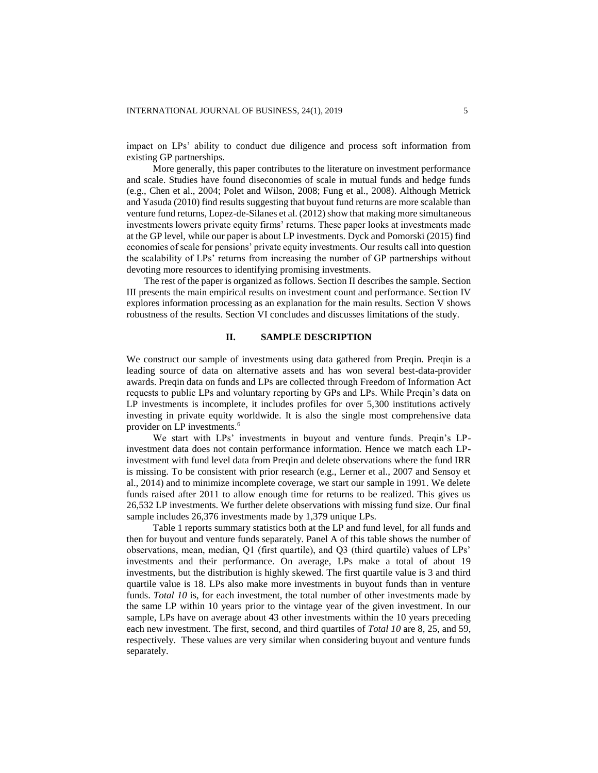impact on LPs' ability to conduct due diligence and process soft information from existing GP partnerships.

More generally, this paper contributes to the literature on investment performance and scale. Studies have found diseconomies of scale in mutual funds and hedge funds (e.g., Chen et al., 2004; Polet and Wilson, 2008; Fung et al., 2008). Although Metrick and Yasuda (2010) find results suggesting that buyout fund returns are more scalable than venture fund returns, Lopez-de-Silanes et al. (2012) show that making more simultaneous investments lowers private equity firms' returns. These paper looks at investments made at the GP level, while our paper is about LP investments. Dyck and Pomorski (2015) find economies of scale for pensions' private equity investments. Our results call into question the scalability of LPs' returns from increasing the number of GP partnerships without devoting more resources to identifying promising investments.

The rest of the paper is organized as follows. Section II describes the sample. Section III presents the main empirical results on investment count and performance. Section IV explores information processing as an explanation for the main results. Section V shows robustness of the results. Section VI concludes and discusses limitations of the study.

#### **II. SAMPLE DESCRIPTION**

We construct our sample of investments using data gathered from Preqin. Preqin is a leading source of data on alternative assets and has won several best-data-provider awards. Preqin data on funds and LPs are collected through Freedom of Information Act requests to public LPs and voluntary reporting by GPs and LPs. While Preqin's data on LP investments is incomplete, it includes profiles for over 5,300 institutions actively investing in private equity worldwide. It is also the single most comprehensive data provider on LP investments.<sup>6</sup>

We start with LPs' investments in buyout and venture funds. Preqin's LPinvestment data does not contain performance information. Hence we match each LPinvestment with fund level data from Preqin and delete observations where the fund IRR is missing. To be consistent with prior research (e.g., Lerner et al., 2007 and Sensoy et al., 2014) and to minimize incomplete coverage, we start our sample in 1991. We delete funds raised after 2011 to allow enough time for returns to be realized. This gives us 26,532 LP investments. We further delete observations with missing fund size. Our final sample includes 26,376 investments made by 1,379 unique LPs.

Table 1 reports summary statistics both at the LP and fund level, for all funds and then for buyout and venture funds separately. Panel A of this table shows the number of observations, mean, median, Q1 (first quartile), and Q3 (third quartile) values of LPs' investments and their performance. On average, LPs make a total of about 19 investments, but the distribution is highly skewed. The first quartile value is 3 and third quartile value is 18. LPs also make more investments in buyout funds than in venture funds. *Total 10* is, for each investment, the total number of other investments made by the same LP within 10 years prior to the vintage year of the given investment. In our sample, LPs have on average about 43 other investments within the 10 years preceding each new investment. The first, second, and third quartiles of *Total 10* are 8, 25, and 59, respectively. These values are very similar when considering buyout and venture funds separately.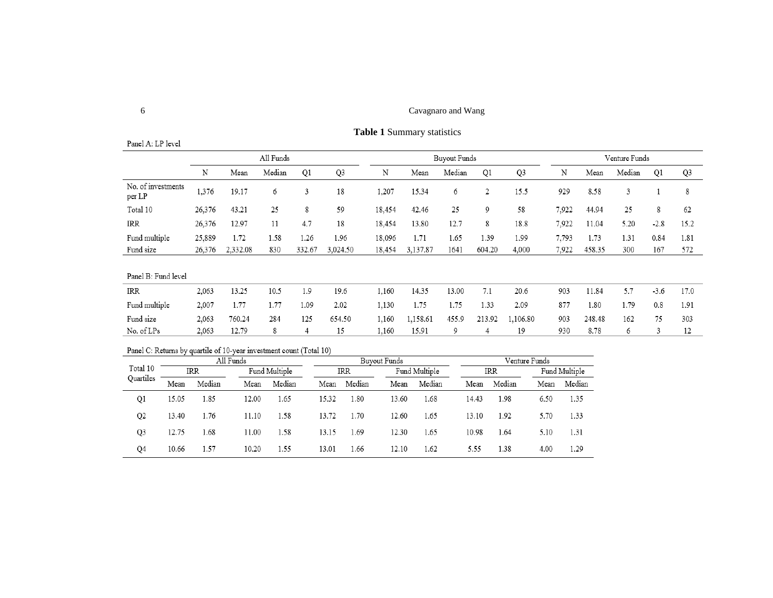# 6 Cavagnaro and Wang

# **Table 1** Summary statistics

|                              |        |          | All Funds |        |                |        |          | <b>Buyout Funds</b> |                |                | Venture Funds |        |        |        |      |
|------------------------------|--------|----------|-----------|--------|----------------|--------|----------|---------------------|----------------|----------------|---------------|--------|--------|--------|------|
|                              | N      | Mean     | Median    | Q1     | Q <sub>3</sub> | N      | Mean     | Median              | Q1             | Q <sub>3</sub> | N             | Mean   | Median | Q1     | Q3   |
| No. of investments<br>per LP | 1,376  | 19.17    | 6         | 3      | 18             | 1,207  | 15.34    | 6                   | $\overline{2}$ | 15.5           | 929           | 8.58   | 3      |        | 8    |
| Total 10                     | 26,376 | 43.21    | 25        | 8      | 59             | 18,454 | 42.46    | 25                  | 9              | 58             | 7,922         | 44.94  | 25     | 8      | 62   |
| <b>IRR</b>                   | 26,376 | 12.97    | 11        | 4.7    | 18             | 18,454 | 13.80    | 12.7                | 8              | 18.8           | 7,922         | 11.04  | 5.20   | $-2.8$ | 15.2 |
| Fund multiple                | 25,889 | 1.72     | 1.58      | 1.26   | 1.96           | 18,096 | 1.71     | 1.65                | 1.39           | 1.99           | 7,793         | 1.73   | 1.31   | 0.84   | 1.81 |
| Fund size                    | 26,376 | 2,332.08 | 830       | 332.67 | 3,024.50       | 18,454 | 3,137.87 | 1641                | 604.20         | 4,000          | 7,922         | 458.35 | 300    | 167    | 572  |
| Panel B: Fund level          |        |          |           |        |                |        |          |                     |                |                |               |        |        |        |      |
| IRR                          | 2,063  | 13.25    | 10.5      | 1.9    | 19.6           | 1,160  | 14.35    | 13.00               | 7.1            | 20.6           | 903           | 11.84  | 5.7    | $-3.6$ | 17.0 |
| Fund multiple                | 2,007  | 1.77     | 1.77      | 1.09   | 2.02           | 1,130  | 1.75     | 1.75                | 1.33           | 2.09           | 877           | 1.80   | 1.79   | 0.8    | 1.91 |
| Fund size                    | 2,063  | 760.24   | 284       | 125    | 654.50         | 1,160  | 1.158.61 | 455.9               | 213.92         | 1,106.80       | 903           | 248.48 | 162    | 75     | 303  |
| No. of LPs                   | 2,063  | 12.79    | 8         | 4      | 15             | 1,160  | 15.91    | 9                   | 4              | 19             | 930           | 8.78   | 6      | 3      | 12   |

# Panel C: Returns by quartile of 10-year investment count (Total 10)

|                |       | All Funds |       |               |       | Buyout Funds |       |               |       | Venture Funds |      |               |  |
|----------------|-------|-----------|-------|---------------|-------|--------------|-------|---------------|-------|---------------|------|---------------|--|
| Total 10       | IRR   |           |       | Fund Multiple |       | IRR          |       | Fund Multiple |       | IRR           |      | Fund Multiple |  |
| Quartiles      | Mean  | Median    | Mean  | Median        | Mean  | Median       | Mean  | Median        | Mean  | Median        | Mean | Median        |  |
| Q1             | 15.05 | 1.85      | 12.00 | . 65          | 15.32 | 1.80         | 13.60 | . 68          | 14.43 | 1.98          | 6.50 | 1.35          |  |
| Q <sub>2</sub> | 13.40 | 1.76      | 11.10 | l.58          | 13.72 | 1.70         | 12.60 | 1.65          | 13.10 | 1.92          | 5.70 | 1.33          |  |
| Q3             | 12.75 | 1.68      | 11.00 | l.58          | 13.15 | 1.69         | 12.30 | 1.65          | 10.98 | 1.64          | 5.10 | 1.31          |  |
| Q4             | 10.66 | 1.57      | 10.20 | 1.55          | 13.01 | 1.66         | 12.10 | 1.62          | 5.55  | 1.38          | 4.00 | 1.29          |  |

Panel A: LP level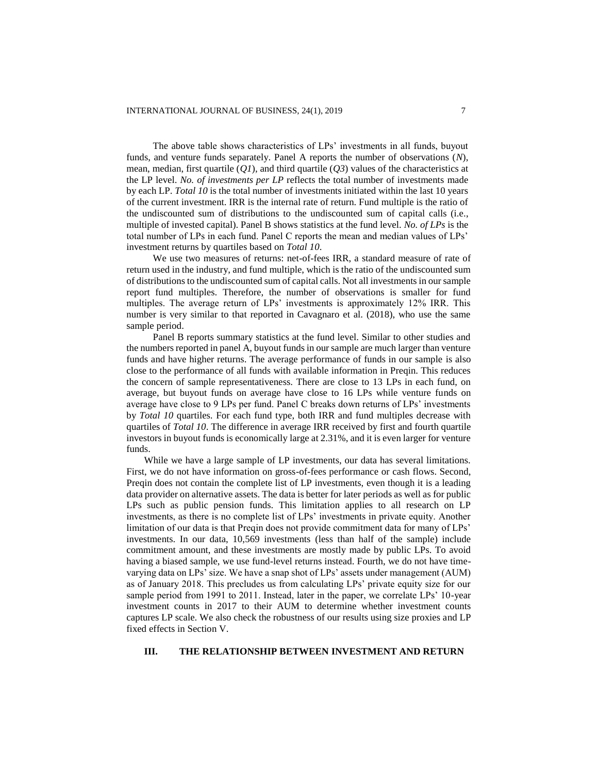The above table shows characteristics of LPs' investments in all funds, buyout funds, and venture funds separately. Panel A reports the number of observations (*N*), mean, median, first quartile (*Q1*), and third quartile (*Q3*) values of the characteristics at the LP level. *No. of investments per LP* reflects the total number of investments made by each LP. *Total 10* is the total number of investments initiated within the last 10 years of the current investment. IRR is the internal rate of return. Fund multiple is the ratio of the undiscounted sum of distributions to the undiscounted sum of capital calls (i.e., multiple of invested capital). Panel B shows statistics at the fund level. *No. of LPs* is the total number of LPs in each fund. Panel C reports the mean and median values of LPs' investment returns by quartiles based on *Total 10*.

We use two measures of returns: net-of-fees IRR, a standard measure of rate of return used in the industry, and fund multiple, which is the ratio of the undiscounted sum of distributions to the undiscounted sum of capital calls. Not all investments in our sample report fund multiples. Therefore, the number of observations is smaller for fund multiples. The average return of LPs' investments is approximately 12% IRR. This number is very similar to that reported in Cavagnaro et al. (2018), who use the same sample period.

Panel B reports summary statistics at the fund level. Similar to other studies and the numbers reported in panel A, buyout funds in our sample are much larger than venture funds and have higher returns. The average performance of funds in our sample is also close to the performance of all funds with available information in Preqin. This reduces the concern of sample representativeness. There are close to 13 LPs in each fund, on average, but buyout funds on average have close to 16 LPs while venture funds on average have close to 9 LPs per fund. Panel C breaks down returns of LPs' investments by *Total 10* quartiles. For each fund type, both IRR and fund multiples decrease with quartiles of *Total 10*. The difference in average IRR received by first and fourth quartile investors in buyout funds is economically large at 2.31%, and it is even larger for venture funds.

While we have a large sample of LP investments, our data has several limitations. First, we do not have information on gross-of-fees performance or cash flows. Second, Preqin does not contain the complete list of LP investments, even though it is a leading data provider on alternative assets. The data is better for later periods as well as for public LPs such as public pension funds. This limitation applies to all research on LP investments, as there is no complete list of LPs' investments in private equity. Another limitation of our data is that Preqin does not provide commitment data for many of LPs' investments. In our data, 10,569 investments (less than half of the sample) include commitment amount, and these investments are mostly made by public LPs. To avoid having a biased sample, we use fund-level returns instead. Fourth, we do not have timevarying data on LPs' size. We have a snap shot of LPs' assets under management (AUM) as of January 2018. This precludes us from calculating LPs' private equity size for our sample period from 1991 to 2011. Instead, later in the paper, we correlate LPs' 10-year investment counts in 2017 to their AUM to determine whether investment counts captures LP scale. We also check the robustness of our results using size proxies and LP fixed effects in Section V.

# **III. THE RELATIONSHIP BETWEEN INVESTMENT AND RETURN**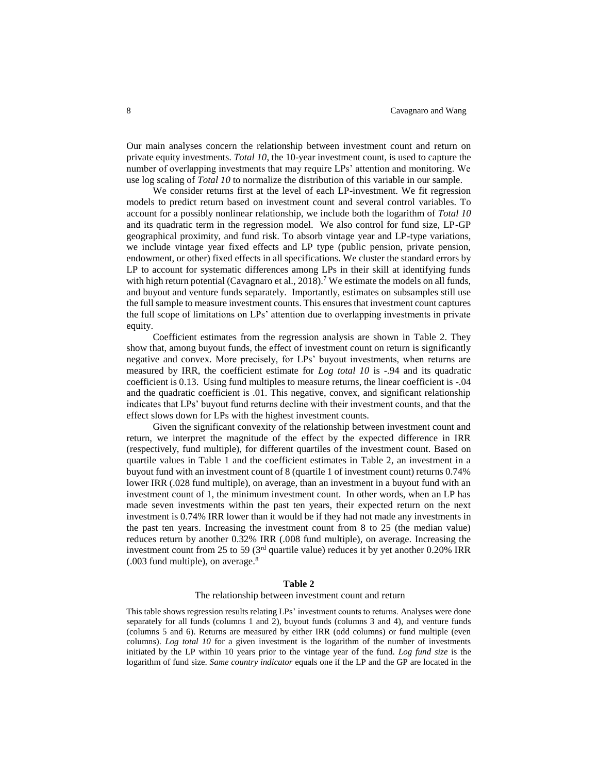Our main analyses concern the relationship between investment count and return on private equity investments. *Total 10*, the 10-year investment count, is used to capture the number of overlapping investments that may require LPs' attention and monitoring. We use log scaling of *Total 10* to normalize the distribution of this variable in our sample.

We consider returns first at the level of each LP-investment. We fit regression models to predict return based on investment count and several control variables. To account for a possibly nonlinear relationship, we include both the logarithm of *Total 10*  and its quadratic term in the regression model. We also control for fund size, LP-GP geographical proximity, and fund risk. To absorb vintage year and LP-type variations, we include vintage year fixed effects and LP type (public pension, private pension, endowment, or other) fixed effects in all specifications. We cluster the standard errors by LP to account for systematic differences among LPs in their skill at identifying funds with high return potential (Cavagnaro et al.,  $2018$ ).<sup>7</sup> We estimate the models on all funds, and buyout and venture funds separately. Importantly, estimates on subsamples still use the full sample to measure investment counts. This ensures that investment count captures the full scope of limitations on LPs' attention due to overlapping investments in private equity.

Coefficient estimates from the regression analysis are shown in Table 2. They show that, among buyout funds, the effect of investment count on return is significantly negative and convex. More precisely, for LPs' buyout investments, when returns are measured by IRR, the coefficient estimate for *Log total 10* is -.94 and its quadratic coefficient is 0.13. Using fund multiples to measure returns, the linear coefficient is -.04 and the quadratic coefficient is .01. This negative, convex, and significant relationship indicates that LPs' buyout fund returns decline with their investment counts, and that the effect slows down for LPs with the highest investment counts.

Given the significant convexity of the relationship between investment count and return, we interpret the magnitude of the effect by the expected difference in IRR (respectively, fund multiple), for different quartiles of the investment count. Based on quartile values in Table 1 and the coefficient estimates in Table 2, an investment in a buyout fund with an investment count of 8 (quartile 1 of investment count) returns 0.74% lower IRR (.028 fund multiple), on average, than an investment in a buyout fund with an investment count of 1, the minimum investment count. In other words, when an LP has made seven investments within the past ten years, their expected return on the next investment is 0.74% IRR lower than it would be if they had not made any investments in the past ten years. Increasing the investment count from 8 to 25 (the median value) reduces return by another 0.32% IRR (.008 fund multiple), on average. Increasing the investment count from 25 to 59 ( $3<sup>rd</sup>$  quartile value) reduces it by yet another 0.20% IRR (.003 fund multiple), on average.<sup>8</sup>

#### **Table 2**

#### The relationship between investment count and return

This table shows regression results relating LPs' investment counts to returns. Analyses were done separately for all funds (columns 1 and 2), buyout funds (columns 3 and 4), and venture funds (columns 5 and 6). Returns are measured by either IRR (odd columns) or fund multiple (even columns). *Log total 10* for a given investment is the logarithm of the number of investments initiated by the LP within 10 years prior to the vintage year of the fund. *Log fund size* is the logarithm of fund size. *Same country indicator* equals one if the LP and the GP are located in the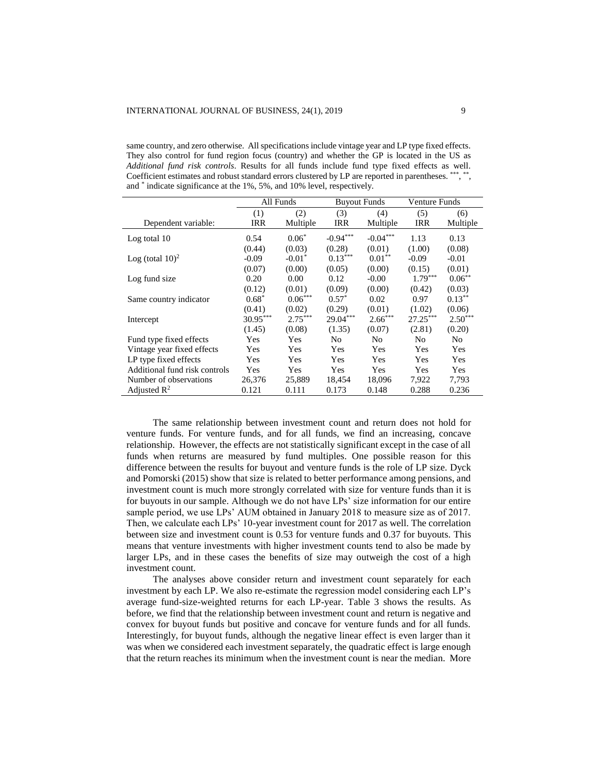same country, and zero otherwise. All specifications include vintage year and LP type fixed effects. They also control for fund region focus (country) and whether the GP is located in the US as *Additional fund risk controls*. Results for all funds include fund type fixed effects as well. Coefficient estimates and robust standard errors clustered by LP are reported in parentheses. \*\*\*, \*\*, and \* indicate significance at the 1%, 5%, and 10% level, respectively.

|                                |            | All Funds  | <b>Buyout Funds</b> |                | Venture Funds |                |
|--------------------------------|------------|------------|---------------------|----------------|---------------|----------------|
|                                | (1)        | (2)        | (3)                 | (4)            | (5)           | (6)            |
| Dependent variable:            | <b>IRR</b> | Multiple   | <b>IRR</b>          | Multiple       | <b>IRR</b>    | Multiple       |
| Log total 10                   | 0.54       | $0.06*$    | $-0.94***$          | $-0.04***$     | 1.13          | 0.13           |
|                                | (0.44)     | (0.03)     | (0.28)              | (0.01)         | (1.00)        | (0.08)         |
| Log (total $10$ ) <sup>2</sup> | $-0.09$    | $-0.01*$   | $0.13***$           | $0.01**$       | $-0.09$       | $-0.01$        |
|                                | (0.07)     | (0.00)     | (0.05)              | (0.00)         | (0.15)        | (0.01)         |
| Log fund size                  | 0.20       | 0.00       | 0.12                | $-0.00$        | $1.79***$     | $0.06***$      |
|                                | (0.12)     | (0.01)     | (0.09)              | (0.00)         | (0.42)        | (0.03)         |
| Same country indicator         | $0.68*$    | $0.06***$  | $0.57^*$            | 0.02           | 0.97          | $0.13***$      |
|                                | (0.41)     | (0.02)     | (0.29)              | (0.01)         | (1.02)        | (0.06)         |
| Intercept                      | $30.95***$ | $2.75***$  | 29.04***            | $2.66***$      | $27.25***$    | $2.50***$      |
|                                | (1.45)     | (0.08)     | (1.35)              | (0.07)         | (2.81)        | (0.20)         |
| Fund type fixed effects        | Yes        | <b>Yes</b> | N <sub>0</sub>      | N <sub>0</sub> | No            | N <sub>0</sub> |
| Vintage year fixed effects     | Yes        | Yes        | <b>Yes</b>          | Yes            | Yes           | Yes            |
| LP type fixed effects          | Yes        | <b>Yes</b> | <b>Yes</b>          | Yes            | <b>Yes</b>    | Yes            |
| Additional fund risk controls  | Yes        | <b>Yes</b> | <b>Yes</b>          | Yes            | <b>Yes</b>    | Yes            |
| Number of observations         | 26,376     | 25,889     | 18,454              | 18,096         | 7,922         | 7,793          |
| Adjusted $\mathbb{R}^2$        | 0.121      | 0.111      | 0.173               | 0.148          | 0.288         | 0.236          |

The same relationship between investment count and return does not hold for venture funds. For venture funds, and for all funds, we find an increasing, concave relationship. However, the effects are not statistically significant except in the case of all funds when returns are measured by fund multiples. One possible reason for this difference between the results for buyout and venture funds is the role of LP size. Dyck and Pomorski (2015) show that size is related to better performance among pensions, and investment count is much more strongly correlated with size for venture funds than it is for buyouts in our sample. Although we do not have LPs' size information for our entire sample period, we use LPs' AUM obtained in January 2018 to measure size as of 2017. Then, we calculate each LPs' 10-year investment count for 2017 as well. The correlation between size and investment count is 0.53 for venture funds and 0.37 for buyouts. This means that venture investments with higher investment counts tend to also be made by larger LPs, and in these cases the benefits of size may outweigh the cost of a high investment count.

The analyses above consider return and investment count separately for each investment by each LP. We also re-estimate the regression model considering each LP's average fund-size-weighted returns for each LP-year. Table 3 shows the results. As before, we find that the relationship between investment count and return is negative and convex for buyout funds but positive and concave for venture funds and for all funds. Interestingly, for buyout funds, although the negative linear effect is even larger than it was when we considered each investment separately, the quadratic effect is large enough that the return reaches its minimum when the investment count is near the median. More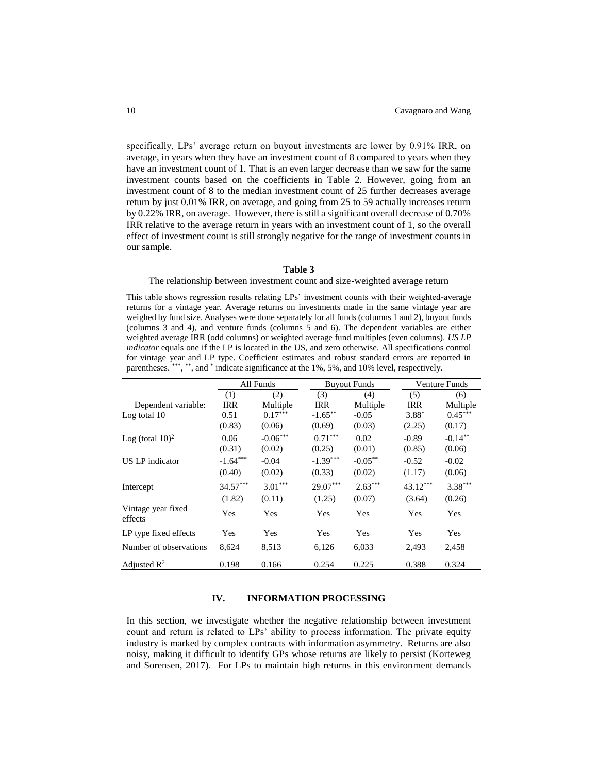specifically, LPs' average return on buyout investments are lower by 0.91% IRR, on average, in years when they have an investment count of 8 compared to years when they have an investment count of 1. That is an even larger decrease than we saw for the same investment counts based on the coefficients in Table 2. However, going from an investment count of 8 to the median investment count of 25 further decreases average return by just 0.01% IRR, on average, and going from 25 to 59 actually increases return by 0.22% IRR, on average. However, there is still a significant overall decrease of 0.70% IRR relative to the average return in years with an investment count of 1, so the overall effect of investment count is still strongly negative for the range of investment counts in our sample.

#### **Table 3**

#### The relationship between investment count and size-weighted average return

This table shows regression results relating LPs' investment counts with their weighted-average returns for a vintage year. Average returns on investments made in the same vintage year are weighed by fund size. Analyses were done separately for all funds (columns 1 and 2), buyout funds (columns 3 and 4), and venture funds (columns 5 and 6). The dependent variables are either weighted average IRR (odd columns) or weighted average fund multiples (even columns). *US LP indicator* equals one if the LP is located in the US, and zero otherwise. All specifications control for vintage year and LP type. Coefficient estimates and robust standard errors are reported in parentheses. \*\*\*, \*\*, and \* indicate significance at the 1%, 5%, and 10% level, respectively.

|                                |            | All Funds  |            | <b>Buyout Funds</b> |            | Venture Funds |
|--------------------------------|------------|------------|------------|---------------------|------------|---------------|
|                                | (1)        | (2)        | (3)        | (4)                 | (5)        | (6)           |
| Dependent variable:            | <b>IRR</b> | Multiple   | IRR        | Multiple            | <b>IRR</b> | Multiple      |
| Log total 10                   | 0.51       | $0.17***$  | $-1.65***$ | $-0.05$             | $3.88*$    | $0.45***$     |
|                                | (0.83)     | (0.06)     | (0.69)     | (0.03)              | (2.25)     | (0.17)        |
| Log (total $10$ ) <sup>2</sup> | 0.06       | $-0.06***$ | $0.71***$  | 0.02                | $-0.89$    | $-0.14***$    |
|                                | (0.31)     | (0.02)     | (0.25)     | (0.01)              | (0.85)     | (0.06)        |
| US LP indicator                | $-1.64***$ | $-0.04$    | $-1.39***$ | $-0.05***$          | $-0.52$    | $-0.02$       |
|                                | (0.40)     | (0.02)     | (0.33)     | (0.02)              | (1.17)     | (0.06)        |
| Intercept                      | $34.57***$ | $3.01***$  | $29.07***$ | $2.63***$           | 43.12***   | $3.38***$     |
|                                | (1.82)     | (0.11)     | (1.25)     | (0.07)              | (3.64)     | (0.26)        |
| Vintage year fixed<br>effects  | Yes        | Yes        | Yes        | Yes                 | Yes        | Yes           |
| LP type fixed effects          | Yes        | Yes        | Yes        | Yes                 | Yes        | Yes           |
| Number of observations         | 8,624      | 8,513      | 6,126      | 6,033               | 2,493      | 2,458         |
| Adjusted $\mathbb{R}^2$        | 0.198      | 0.166      | 0.254      | 0.225               | 0.388      | 0.324         |

# **IV. INFORMATION PROCESSING**

In this section, we investigate whether the negative relationship between investment count and return is related to LPs' ability to process information. The private equity industry is marked by complex contracts with information asymmetry. Returns are also noisy, making it difficult to identify GPs whose returns are likely to persist (Korteweg and Sorensen, 2017). For LPs to maintain high returns in this environment demands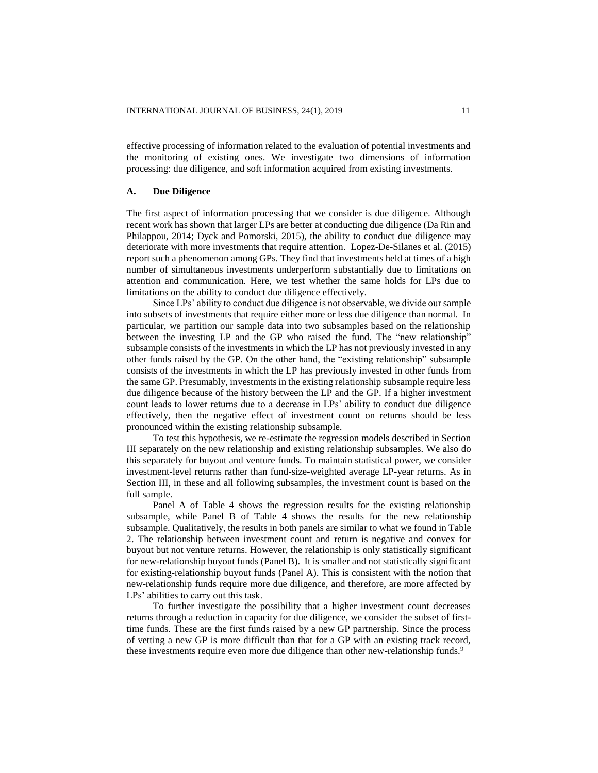effective processing of information related to the evaluation of potential investments and the monitoring of existing ones. We investigate two dimensions of information processing: due diligence, and soft information acquired from existing investments.

#### **A. Due Diligence**

The first aspect of information processing that we consider is due diligence. Although recent work has shown that larger LPs are better at conducting due diligence (Da Rin and Philappou, 2014; Dyck and Pomorski, 2015), the ability to conduct due diligence may deteriorate with more investments that require attention. Lopez-De-Silanes et al. (2015) report such a phenomenon among GPs. They find that investments held at times of a high number of simultaneous investments underperform substantially due to limitations on attention and communication. Here, we test whether the same holds for LPs due to limitations on the ability to conduct due diligence effectively.

Since LPs' ability to conduct due diligence is not observable, we divide our sample into subsets of investments that require either more or less due diligence than normal. In particular, we partition our sample data into two subsamples based on the relationship between the investing LP and the GP who raised the fund. The "new relationship" subsample consists of the investments in which the LP has not previously invested in any other funds raised by the GP. On the other hand, the "existing relationship" subsample consists of the investments in which the LP has previously invested in other funds from the same GP. Presumably, investments in the existing relationship subsample require less due diligence because of the history between the LP and the GP. If a higher investment count leads to lower returns due to a decrease in LPs' ability to conduct due diligence effectively, then the negative effect of investment count on returns should be less pronounced within the existing relationship subsample.

To test this hypothesis, we re-estimate the regression models described in Section III separately on the new relationship and existing relationship subsamples. We also do this separately for buyout and venture funds. To maintain statistical power, we consider investment-level returns rather than fund-size-weighted average LP-year returns. As in Section III, in these and all following subsamples, the investment count is based on the full sample.

Panel A of Table 4 shows the regression results for the existing relationship subsample, while Panel B of Table 4 shows the results for the new relationship subsample. Qualitatively, the results in both panels are similar to what we found in Table 2. The relationship between investment count and return is negative and convex for buyout but not venture returns. However, the relationship is only statistically significant for new-relationship buyout funds (Panel B). It is smaller and not statistically significant for existing-relationship buyout funds (Panel A). This is consistent with the notion that new-relationship funds require more due diligence, and therefore, are more affected by LPs' abilities to carry out this task.

To further investigate the possibility that a higher investment count decreases returns through a reduction in capacity for due diligence, we consider the subset of firsttime funds. These are the first funds raised by a new GP partnership. Since the process of vetting a new GP is more difficult than that for a GP with an existing track record, these investments require even more due diligence than other new-relationship funds.<sup>9</sup>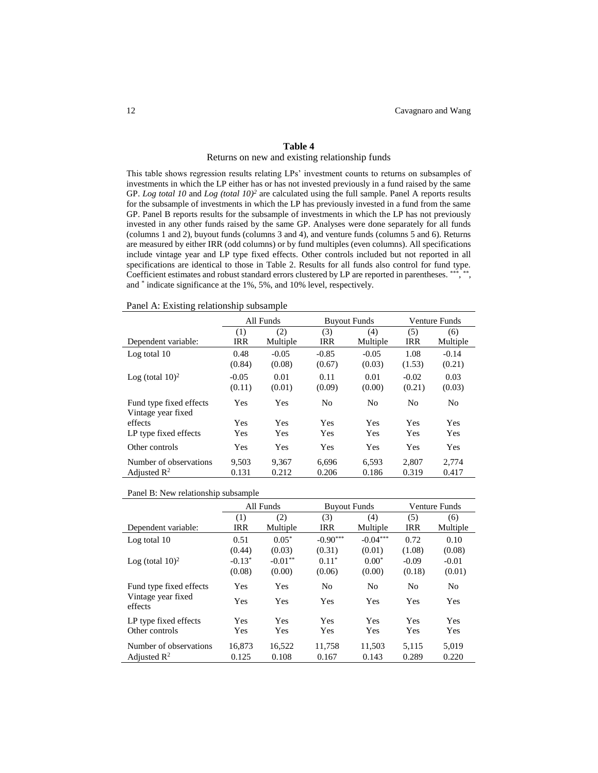# **Table 4**

#### Returns on new and existing relationship funds

This table shows regression results relating LPs' investment counts to returns on subsamples of investments in which the LP either has or has not invested previously in a fund raised by the same GP. *Log total 10* and *Log (total 10)<sup>2</sup>* are calculated using the full sample. Panel A reports results for the subsample of investments in which the LP has previously invested in a fund from the same GP. Panel B reports results for the subsample of investments in which the LP has not previously invested in any other funds raised by the same GP. Analyses were done separately for all funds (columns 1 and 2), buyout funds (columns 3 and 4), and venture funds (columns 5 and 6). Returns are measured by either IRR (odd columns) or by fund multiples (even columns). All specifications include vintage year and LP type fixed effects. Other controls included but not reported in all specifications are identical to those in Table 2. Results for all funds also control for fund type. Coefficient estimates and robust standard errors clustered by LP are reported in parentheses. \*\*\*, \*\*, and \* indicate significance at the 1%, 5%, and 10% level, respectively.

Panel A: Existing relationship subsample

|                                               | All Funds         |                   |                   | <b>Buyout Funds</b> | Venture Funds     |                   |  |
|-----------------------------------------------|-------------------|-------------------|-------------------|---------------------|-------------------|-------------------|--|
| Dependent variable:                           | (1)<br><b>IRR</b> | (2)<br>Multiple   | (3)<br><b>IRR</b> | (4)<br>Multiple     | (5)<br><b>IRR</b> | (6)<br>Multiple   |  |
| Log total 10                                  | 0.48<br>(0.84)    | $-0.05$<br>(0.08) | $-0.85$<br>(0.67) | $-0.05$<br>(0.03)   | 1.08<br>(1.53)    | $-0.14$<br>(0.21) |  |
| Log (total $10$ ) <sup>2</sup>                | $-0.05$<br>(0.11) | 0.01<br>(0.01)    | 0.11<br>(0.09)    | 0.01<br>(0.00)      | $-0.02$<br>(0.21) | 0.03<br>(0.03)    |  |
| Fund type fixed effects<br>Vintage year fixed | Yes               | Yes               | N <sub>0</sub>    | N <sub>0</sub>      | N <sub>0</sub>    | N <sub>0</sub>    |  |
| effects                                       | Yes               | <b>Yes</b>        | <b>Yes</b>        | Yes                 | Yes               | <b>Yes</b>        |  |
| LP type fixed effects                         | Yes               | <b>Yes</b>        | Yes               | Yes                 | Yes               | <b>Yes</b>        |  |
| Other controls                                | Yes               | Yes               | Yes               | Yes                 | Yes               | <b>Yes</b>        |  |
| Number of observations                        | 9,503             | 9,367             | 6,696             | 6,593               | 2,807             | 2,774             |  |
| Adjusted $\mathbb{R}^2$                       | 0.131             | 0.212             | 0.206             | 0.186               | 0.319             | 0.417             |  |

Panel B: New relationship subsample

|                                |            | All Funds  | <b>Buyout Funds</b> |                | Venture Funds  |            |  |
|--------------------------------|------------|------------|---------------------|----------------|----------------|------------|--|
|                                | (1)        | (2)        | (3)                 | (4)            | (5)            | (6)        |  |
| Dependent variable:            | <b>IRR</b> | Multiple   | <b>IRR</b>          | Multiple       | <b>IRR</b>     | Multiple   |  |
| Log total 10                   | 0.51       | $0.05*$    | $-0.90***$          | $-0.04***$     | 0.72           | 0.10       |  |
|                                | (0.44)     | (0.03)     | (0.31)              | (0.01)         | (1.08)         | (0.08)     |  |
| Log (total $10$ ) <sup>2</sup> | $-0.13*$   | $-0.01***$ | $0.11*$             | $0.00*$        | $-0.09$        | $-0.01$    |  |
|                                | (0.08)     | (0.00)     | (0.06)              | (0.00)         | (0.18)         | (0.01)     |  |
| Fund type fixed effects        | Yes        | Yes        | N <sub>0</sub>      | N <sub>0</sub> | N <sub>0</sub> | No         |  |
| Vintage year fixed<br>effects  | Yes        | Yes        | Yes                 | Yes            | Yes            | <b>Yes</b> |  |
| LP type fixed effects          | Yes        | Yes        | Yes                 | Yes            | Yes            | <b>Yes</b> |  |
| Other controls                 | Yes        | <b>Yes</b> | Yes                 | Yes            | Yes            | <b>Yes</b> |  |
| Number of observations         | 16,873     | 16,522     | 11,758              | 11,503         | 5,115          | 5,019      |  |
| Adjusted $\mathbb{R}^2$        | 0.125      | 0.108      | 0.167               | 0.143          | 0.289          | 0.220      |  |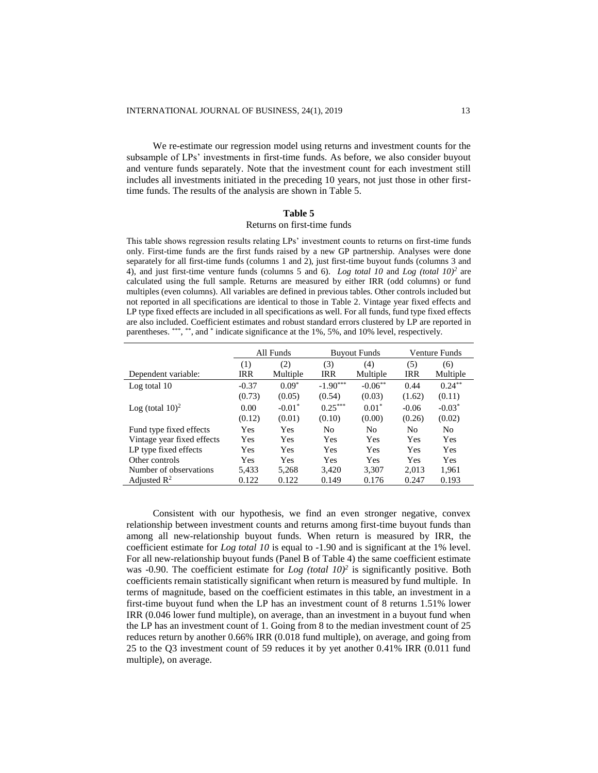We re-estimate our regression model using returns and investment counts for the subsample of LPs' investments in first-time funds. As before, we also consider buyout and venture funds separately. Note that the investment count for each investment still includes all investments initiated in the preceding 10 years, not just those in other firsttime funds. The results of the analysis are shown in Table 5.

#### **Table 5**

### Returns on first-time funds

This table shows regression results relating LPs' investment counts to returns on first-time funds only. First-time funds are the first funds raised by a new GP partnership. Analyses were done separately for all first-time funds (columns 1 and 2), just first-time buyout funds (columns 3 and 4), and just first-time venture funds (columns 5 and 6). *Log total 10* and *Log (total 10)<sup>2</sup>* are calculated using the full sample. Returns are measured by either IRR (odd columns) or fund multiples (even columns). All variables are defined in previous tables. Other controls included but not reported in all specifications are identical to those in Table 2. Vintage year fixed effects and LP type fixed effects are included in all specifications as well. For all funds, fund type fixed effects are also included. Coefficient estimates and robust standard errors clustered by LP are reported in parentheses. \*\*\*, \*\*, and \* indicate significance at the 1%, 5%, and 10% level, respectively.

|                                | All Funds  |            |            | <b>Buyout Funds</b> | <b>Venture Funds</b> |            |  |
|--------------------------------|------------|------------|------------|---------------------|----------------------|------------|--|
|                                | (2)<br>(1) |            | (3)        | (4)                 | (5)                  | (6)        |  |
| Dependent variable:            | IRR        | Multiple   | <b>IRR</b> | Multiple            | <b>IRR</b>           | Multiple   |  |
| Log total 10                   | $-0.37$    | $0.09*$    | $-1.90***$ | $-0.06***$          | 0.44                 | $0.24***$  |  |
|                                | (0.73)     | (0.05)     | (0.54)     | (0.03)              | (1.62)               | (0.11)     |  |
| Log (total $10$ ) <sup>2</sup> | 0.00       | $-0.01*$   | $0.25***$  | $0.01*$             | $-0.06$              | $-0.03*$   |  |
|                                | (0.12)     | (0.01)     | (0.10)     | (0.00)              | (0.26)               | (0.02)     |  |
| Fund type fixed effects        | Yes        | Yes        | No         | N <sub>0</sub>      | No                   | No         |  |
| Vintage year fixed effects     | <b>Yes</b> | Yes        | Yes        | <b>Yes</b>          | <b>Yes</b>           | Yes        |  |
| LP type fixed effects          | Yes        | Yes        | Yes        | Yes                 | <b>Yes</b>           | Yes        |  |
| Other controls                 | <b>Yes</b> | <b>Yes</b> | Yes        | Yes                 | <b>Yes</b>           | <b>Yes</b> |  |
| Number of observations         | 5,433      | 5.268      | 3.420      | 3.307               | 2.013                | 1,961      |  |
| Adjusted $\mathbb{R}^2$        | 0.122      | 0.122      | 0.149      | 0.176               | 0.247                | 0.193      |  |

Consistent with our hypothesis, we find an even stronger negative, convex relationship between investment counts and returns among first-time buyout funds than among all new-relationship buyout funds. When return is measured by IRR, the coefficient estimate for *Log total 10* is equal to -1.90 and is significant at the 1% level. For all new-relationship buyout funds (Panel B of Table 4) the same coefficient estimate was -0.90. The coefficient estimate for  $Log (total 10)^2$  is significantly positive. Both coefficients remain statistically significant when return is measured by fund multiple. In terms of magnitude, based on the coefficient estimates in this table, an investment in a first-time buyout fund when the LP has an investment count of 8 returns 1.51% lower IRR (0.046 lower fund multiple), on average, than an investment in a buyout fund when the LP has an investment count of 1. Going from 8 to the median investment count of 25 reduces return by another 0.66% IRR (0.018 fund multiple), on average, and going from 25 to the Q3 investment count of 59 reduces it by yet another 0.41% IRR (0.011 fund multiple), on average.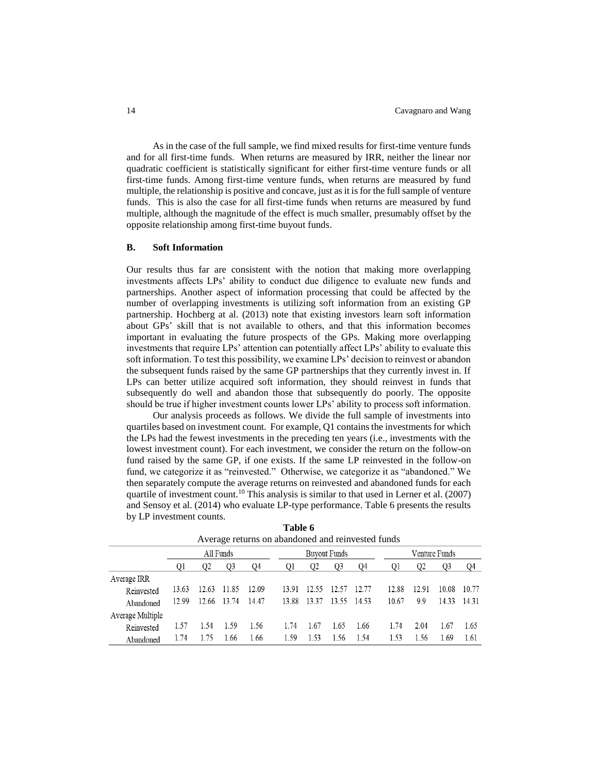As in the case of the full sample, we find mixed results for first-time venture funds and for all first-time funds. When returns are measured by IRR, neither the linear nor quadratic coefficient is statistically significant for either first-time venture funds or all first-time funds. Among first-time venture funds, when returns are measured by fund multiple, the relationship is positive and concave, just as it is for the full sample of venture funds. This is also the case for all first-time funds when returns are measured by fund multiple, although the magnitude of the effect is much smaller, presumably offset by the opposite relationship among first-time buyout funds.

# **B. Soft Information**

Our results thus far are consistent with the notion that making more overlapping investments affects LPs' ability to conduct due diligence to evaluate new funds and partnerships. Another aspect of information processing that could be affected by the number of overlapping investments is utilizing soft information from an existing GP partnership. Hochberg at al. (2013) note that existing investors learn soft information about GPs' skill that is not available to others, and that this information becomes important in evaluating the future prospects of the GPs. Making more overlapping investments that require LPs' attention can potentially affect LPs' ability to evaluate this soft information. To test this possibility, we examine LPs' decision to reinvest or abandon the subsequent funds raised by the same GP partnerships that they currently invest in. If LPs can better utilize acquired soft information, they should reinvest in funds that subsequently do well and abandon those that subsequently do poorly. The opposite should be true if higher investment counts lower LPs' ability to process soft information.

Our analysis proceeds as follows. We divide the full sample of investments into quartiles based on investment count. For example, Q1 contains the investments for which the LPs had the fewest investments in the preceding ten years (i.e., investments with the lowest investment count). For each investment, we consider the return on the follow-on fund raised by the same GP, if one exists. If the same LP reinvested in the follow-on fund, we categorize it as "reinvested." Otherwise, we categorize it as "abandoned." We then separately compute the average returns on reinvested and abandoned funds for each quartile of investment count.<sup>10</sup> This analysis is similar to that used in Lerner et al. (2007) and Sensoy et al. (2014) who evaluate LP-type performance. Table 6 presents the results by LP investment counts.

| Trouge fearing on abandoned and fem reside funds |       |       |                |       |       |                     |             |       |       |               |       |       |  |
|--------------------------------------------------|-------|-------|----------------|-------|-------|---------------------|-------------|-------|-------|---------------|-------|-------|--|
|                                                  |       |       | All Funds      |       |       | <b>Buyout Funds</b> |             |       |       | Venture Funds |       |       |  |
|                                                  | 01    | 02    | O <sub>3</sub> | Q4    | Q1    | Q <sub>2</sub>      | Q3          | 04    | Q1    | Q2            | Q3    | 04    |  |
| Average IRR                                      |       |       |                |       |       |                     |             |       |       |               |       |       |  |
| Reinvested                                       | 13.63 | 12.63 | 11.85          | 12.09 | 13.91 |                     | 12.55 12.57 | 12.77 | 12.88 | 12.91         | 10.08 | 10.77 |  |
| Abandoned                                        | 12.99 | 12.66 | 13.74          | 14.47 | 13.88 | 13.37               | 13.55       | 14.53 | 10.67 | 9.9           | 14.33 | 14.31 |  |
| Average Multiple                                 |       |       |                |       |       |                     |             |       |       |               |       |       |  |
| Reinvested                                       | 1.57  | 1.54  | 1.59           | 1.56  | 1.74  | 1.67                | 1.65        | 1.66  | 1.74  | 2.04          | 1.67  | 1.65  |  |
| Abandoned                                        | 1.74  | 1.75  | 1.66           | 1.66  | 1.59  | 1.53                | 1.56        | 1.54  | 1.53  | 1.56          | 1.69  | 1.61  |  |
|                                                  |       |       |                |       |       |                     |             |       |       |               |       |       |  |

**Table 6** Average returns on abandoned and reinvested funds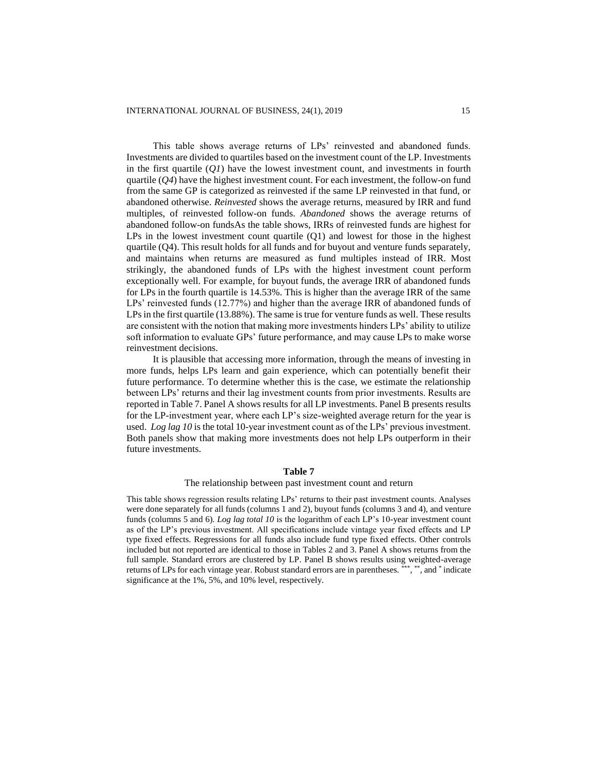This table shows average returns of LPs' reinvested and abandoned funds. Investments are divided to quartiles based on the investment count of the LP. Investments in the first quartile  $(QI)$  have the lowest investment count, and investments in fourth quartile (*Q4*) have the highest investment count. For each investment, the follow-on fund from the same GP is categorized as reinvested if the same LP reinvested in that fund, or abandoned otherwise. *Reinvested* shows the average returns, measured by IRR and fund multiples, of reinvested follow-on funds. *Abandoned* shows the average returns of abandoned follow-on fundsAs the table shows, IRRs of reinvested funds are highest for LPs in the lowest investment count quartile (Q1) and lowest for those in the highest quartile (Q4). This result holds for all funds and for buyout and venture funds separately, and maintains when returns are measured as fund multiples instead of IRR. Most strikingly, the abandoned funds of LPs with the highest investment count perform exceptionally well. For example, for buyout funds, the average IRR of abandoned funds for LPs in the fourth quartile is 14.53%. This is higher than the average IRR of the same LPs' reinvested funds (12.77%) and higher than the average IRR of abandoned funds of LPs in the first quartile (13.88%). The same is true for venture funds as well. These results are consistent with the notion that making more investments hinders LPs' ability to utilize soft information to evaluate GPs' future performance, and may cause LPs to make worse reinvestment decisions.

It is plausible that accessing more information, through the means of investing in more funds, helps LPs learn and gain experience, which can potentially benefit their future performance. To determine whether this is the case, we estimate the relationship between LPs' returns and their lag investment counts from prior investments. Results are reported in Table 7. Panel A shows results for all LP investments. Panel B presents results for the LP-investment year, where each LP's size-weighted average return for the year is used. *Log lag 10* is the total 10-year investment count as of the LPs' previous investment. Both panels show that making more investments does not help LPs outperform in their future investments.

#### **Table 7**

#### The relationship between past investment count and return

This table shows regression results relating LPs' returns to their past investment counts. Analyses were done separately for all funds (columns 1 and 2), buyout funds (columns 3 and 4), and venture funds (columns 5 and 6). *Log lag total 10* is the logarithm of each LP's 10-year investment count as of the LP's previous investment. All specifications include vintage year fixed effects and LP type fixed effects. Regressions for all funds also include fund type fixed effects. Other controls included but not reported are identical to those in Tables 2 and 3. Panel A shows returns from the full sample. Standard errors are clustered by LP. Panel B shows results using weighted-average returns of LPs for each vintage year. Robust standard errors are in parentheses. \*\*\*, \*\*, and \* indicate significance at the 1%, 5%, and 10% level, respectively.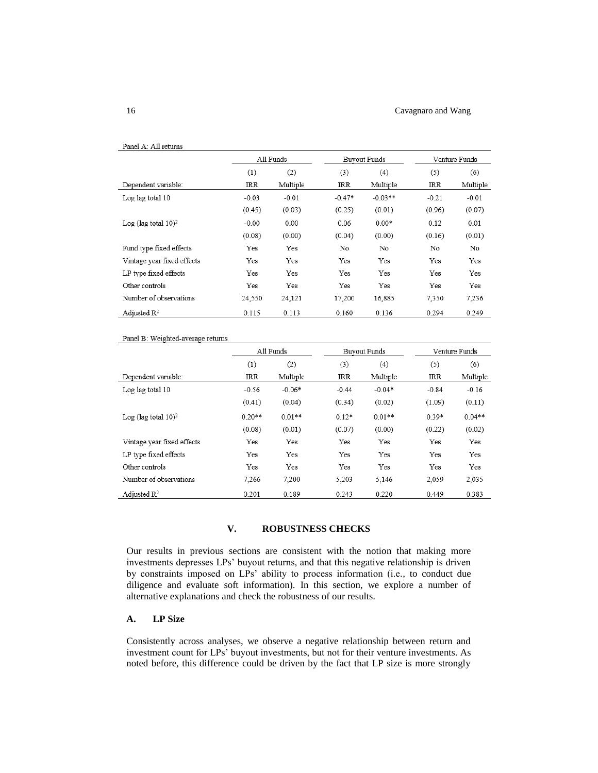#### 16 Cavagnaro and Wang

| Panel A: All returns               |         |           |          |                     |               |          |
|------------------------------------|---------|-----------|----------|---------------------|---------------|----------|
|                                    |         | All Funds |          | <b>Buyout Funds</b> | Venture Funds |          |
|                                    | (1)     | (2)       | (3)      | (4)                 | (5)           | (6)      |
| Dependent variable:                | IRR     | Multiple  | IRR      | Multiple            | IRR           | Multiple |
| Log lag total 10                   | $-0.03$ | $-0.01$   | $-0.47*$ | $-0.03**$           | $-0.21$       | $-0.01$  |
|                                    | (0.45)  | (0.03)    | (0.25)   | (0.01)              | (0.96)        | (0.07)   |
| Log (lag total $10$ ) <sup>2</sup> | $-0.00$ | 0.00      | 0.06     | $0.00*$             | 0.12          | 0.01     |
|                                    | (0.08)  | (0.00)    | (0.04)   | (0.00)              | (0.16)        | (0.01)   |
| Fund type fixed effects            | Yes     | Yes       | No       | No                  | No            | No       |
| Vintage year fixed effects         | Yes     | Yes       | Yes      | Yes                 | Yes           | Yes      |
| LP type fixed effects              | Yes     | Yes       | Yes      | Yes                 | Yes           | Yes      |
| Other controls                     | Yes     | Yes       | Yes      | Yes                 | Yes           | Yes      |
| Number of observations             | 24,550  | 24,121    | 17,200   | 16,885              | 7,350         | 7,236    |
| Adjusted $\mathbb{R}^2$            | 0.115   | 0.113     | 0.160    | 0.136               | 0.294         | 0.249    |

#### Panel B: Weighted-average returns

|                                    |          | All Funds |            | <b>Buvout Funds</b> |            | Venture Funds |
|------------------------------------|----------|-----------|------------|---------------------|------------|---------------|
|                                    | (1)      | (2)       | (3)        | (4)                 | (5)        | (6)           |
| Dependent variable:                | IRR      | Multiple  | <b>IRR</b> | Multiple            | <b>IRR</b> | Multiple      |
| Log lag total 10                   | $-0.56$  | $-0.06*$  | $-0.44$    | $-0.04*$            | $-0.84$    | $-0.16$       |
|                                    | (0.41)   | (0.04)    | (0.34)     | (0.02)              | (1.09)     | (0.11)        |
| Log (lag total $10$ ) <sup>2</sup> | $0.20**$ | $0.01**$  | $0.12*$    | $0.01**$            | $0.39*$    | $0.04**$      |
|                                    | (0.08)   | (0.01)    | (0.07)     | (0.00)              | (0.22)     | (0.02)        |
| Vintage year fixed effects         | Yes      | Yes       | Yes        | Yes                 | Yes        | Yes           |
| LP type fixed effects              | Yes      | Yes       | Yes        | Yes                 | Yes        | Yes           |
| Other controls                     | Yes      | Yes       | Yes        | Yes                 | Yes        | Yes           |
| Number of observations             | 7,266    | 7,200     | 5,203      | 5,146               | 2,059      | 2,035         |
| Adjusted $\mathbb{R}^2$            | 0.201    | 0.189     | 0.243      | 0.220               | 0.449      | 0.383         |

# **V. ROBUSTNESS CHECKS**

Our results in previous sections are consistent with the notion that making more investments depresses LPs' buyout returns, and that this negative relationship is driven by constraints imposed on LPs' ability to process information (i.e., to conduct due diligence and evaluate soft information). In this section, we explore a number of alternative explanations and check the robustness of our results.

# **A. LP Size**

Consistently across analyses, we observe a negative relationship between return and investment count for LPs' buyout investments, but not for their venture investments. As noted before, this difference could be driven by the fact that LP size is more strongly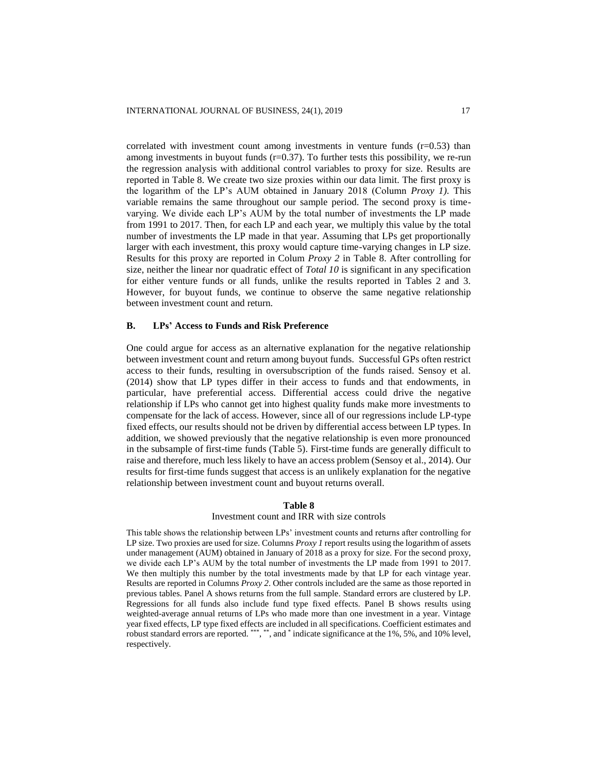correlated with investment count among investments in venture funds  $(r=0.53)$  than among investments in buyout funds  $(r=0.37)$ . To further tests this possibility, we re-run the regression analysis with additional control variables to proxy for size. Results are reported in Table 8. We create two size proxies within our data limit. The first proxy is the logarithm of the LP's AUM obtained in January 2018 (Column *Proxy 1)*. This variable remains the same throughout our sample period. The second proxy is timevarying. We divide each LP's AUM by the total number of investments the LP made from 1991 to 2017. Then, for each LP and each year, we multiply this value by the total number of investments the LP made in that year. Assuming that LPs get proportionally larger with each investment, this proxy would capture time-varying changes in LP size. Results for this proxy are reported in Colum *Proxy 2* in Table 8. After controlling for size, neither the linear nor quadratic effect of *Total 10* is significant in any specification for either venture funds or all funds, unlike the results reported in Tables 2 and 3. However, for buyout funds, we continue to observe the same negative relationship between investment count and return.

#### **B. LPs' Access to Funds and Risk Preference**

One could argue for access as an alternative explanation for the negative relationship between investment count and return among buyout funds. Successful GPs often restrict access to their funds, resulting in oversubscription of the funds raised. Sensoy et al. (2014) show that LP types differ in their access to funds and that endowments, in particular, have preferential access. Differential access could drive the negative relationship if LPs who cannot get into highest quality funds make more investments to compensate for the lack of access. However, since all of our regressions include LP-type fixed effects, our results should not be driven by differential access between LP types. In addition, we showed previously that the negative relationship is even more pronounced in the subsample of first-time funds (Table 5). First-time funds are generally difficult to raise and therefore, much less likely to have an access problem (Sensoy et al., 2014). Our results for first-time funds suggest that access is an unlikely explanation for the negative relationship between investment count and buyout returns overall.

### **Table 8**

#### Investment count and IRR with size controls

This table shows the relationship between LPs' investment counts and returns after controlling for LP size. Two proxies are used for size. Columns *Proxy 1* report results using the logarithm of assets under management (AUM) obtained in January of 2018 as a proxy for size. For the second proxy, we divide each LP's AUM by the total number of investments the LP made from 1991 to 2017. We then multiply this number by the total investments made by that LP for each vintage year. Results are reported in Columns *Proxy 2*. Other controls included are the same as those reported in previous tables. Panel A shows returns from the full sample. Standard errors are clustered by LP. Regressions for all funds also include fund type fixed effects. Panel B shows results using weighted-average annual returns of LPs who made more than one investment in a year. Vintage year fixed effects, LP type fixed effects are included in all specifications. Coefficient estimates and robust standard errors are reported. \*\*\*, \*\*, and \* indicate significance at the 1%, 5%, and 10% level, respectively.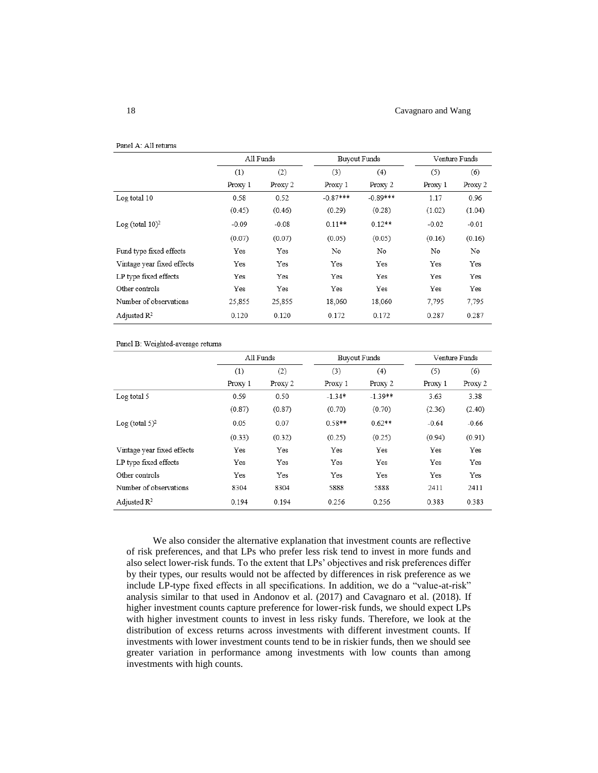#### 18 Cavagnaro and Wang

|                             | All Funds |         | <b>Buyout Funds</b> |            | Venture Funds |         |
|-----------------------------|-----------|---------|---------------------|------------|---------------|---------|
|                             | (1)       | (2)     | (3)                 | (4)        | (5)           | (6)     |
|                             | Proxy 1   | Proxy 2 | Proxy 1             | Proxy 2    | Proxy 1       | Proxy 2 |
| Log total 10                | 0.58      | 0.52    | $-0.87***$          | $-0.89***$ | 1.17          | 0.96    |
|                             | (0.45)    | (0.46)  | (0.29)              | (0.28)     | (1.02)        | (1.04)  |
| Log (total 10) <sup>2</sup> | $-0.09$   | $-0.08$ | $0.11**$            | $0.12**$   | $-0.02$       | $-0.01$ |
|                             | (0.07)    | (0.07)  | (0.05)              | (0.05)     | (0.16)        | (0.16)  |
| Fund type fixed effects     | Yes       | Yes     | No                  | No         | No            | No      |
| Vintage year fixed effects  | Yes       | Yes     | Yes                 | Yes        | Yes           | Yes     |
| LP type fixed effects       | Yes       | Yes     | Yes                 | Yes        | Yes           | Yes     |
| Other controls              | Yes       | Yes     | Yes                 | Yes        | Yes           | Yes     |
| Number of observations      | 25,855    | 25,855  | 18,060              | 18,060     | 7,795         | 7,795   |
| Adjusted $\mathbb{R}^2$     | 0.120     | 0.120   | 0.172               | 0.172      | 0.287         | 0.287   |

#### Panel B: Weighted-average returns

|                            | All Funds |         |          | <b>Buyout Funds</b> |         | Venture Funds |
|----------------------------|-----------|---------|----------|---------------------|---------|---------------|
|                            | (1)       | (2)     | (3)      | (4)                 | (5)     | (6)           |
|                            | Proxy 1   | Proxy 2 | Proxy 1  | Proxy 2             | Proxy 1 | Proxy 2       |
| Log total 5                | 0.59      | 0.50    | $-1.34*$ | $-1.39**$           | 3.63    | 3.38          |
|                            | (0.87)    | (0.87)  | (0.70)   | (0.70)              | (2.36)  | (2.40)        |
| Log (total $5)^2$          | 0.05      | 0.07    | $0.58**$ | $0.62**$            | $-0.64$ | $-0.66$       |
|                            | (0.33)    | (0.32)  | (0.25)   | (0.25)              | (0.94)  | (0.91)        |
| Vintage year fixed effects | Yes       | Yes     | Yes      | Yes                 | Yes     | Yes           |
| LP type fixed effects      | Yes       | Yes     | Yes      | Yes                 | Yes     | Yes           |
| Other controls             | Yes       | Yes     | Yes      | Yes                 | Yes     | Yes           |
| Number of observations     | 8304      | 8304    | 5888     | 5888                | 2411    | 2411          |
| Adjusted $\mathbb{R}^2$    | 0.194     | 0.194   | 0.256    | 0.256               | 0.383   | 0.383         |

We also consider the alternative explanation that investment counts are reflective of risk preferences, and that LPs who prefer less risk tend to invest in more funds and also select lower-risk funds. To the extent that LPs' objectives and risk preferences differ by their types, our results would not be affected by differences in risk preference as we include LP-type fixed effects in all specifications. In addition, we do a "value-at-risk" analysis similar to that used in Andonov et al. (2017) and Cavagnaro et al. (2018). If higher investment counts capture preference for lower-risk funds, we should expect LPs with higher investment counts to invest in less risky funds. Therefore, we look at the distribution of excess returns across investments with different investment counts. If investments with lower investment counts tend to be in riskier funds, then we should see greater variation in performance among investments with low counts than among investments with high counts.

Panel A: All returns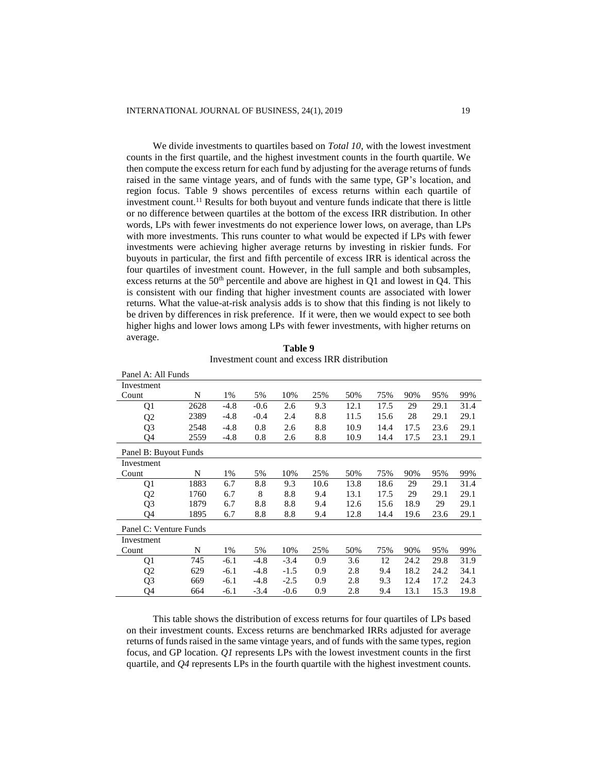We divide investments to quartiles based on *Total 10*, with the lowest investment counts in the first quartile, and the highest investment counts in the fourth quartile. We then compute the excess return for each fund by adjusting for the average returns of funds raised in the same vintage years, and of funds with the same type, GP's location, and region focus. Table 9 shows percentiles of excess returns within each quartile of investment count.<sup>11</sup> Results for both buyout and venture funds indicate that there is little or no difference between quartiles at the bottom of the excess IRR distribution. In other words, LPs with fewer investments do not experience lower lows, on average, than LPs with more investments. This runs counter to what would be expected if LPs with fewer investments were achieving higher average returns by investing in riskier funds. For buyouts in particular, the first and fifth percentile of excess IRR is identical across the four quartiles of investment count. However, in the full sample and both subsamples, excess returns at the  $50<sup>th</sup>$  percentile and above are highest in Q1 and lowest in Q4. This is consistent with our finding that higher investment counts are associated with lower returns. What the value-at-risk analysis adds is to show that this finding is not likely to be driven by differences in risk preference. If it were, then we would expect to see both higher highs and lower lows among LPs with fewer investments, with higher returns on average.

**Table 9** Investment count and excess IRR distribution

| Panel A: All Funds     |      |        |        |        |      |      |      |      |      |      |
|------------------------|------|--------|--------|--------|------|------|------|------|------|------|
| Investment             |      |        |        |        |      |      |      |      |      |      |
| Count                  | N    | 1%     | 5%     | 10%    | 25%  | 50%  | 75%  | 90%  | 95%  | 99%  |
| Q1                     | 2628 | $-4.8$ | $-0.6$ | 2.6    | 9.3  | 12.1 | 17.5 | 29   | 29.1 | 31.4 |
| Q <sub>2</sub>         | 2389 | $-4.8$ | $-0.4$ | 2.4    | 8.8  | 11.5 | 15.6 | 28   | 29.1 | 29.1 |
| Q <sub>3</sub>         | 2548 | $-4.8$ | 0.8    | 2.6    | 8.8  | 10.9 | 14.4 | 17.5 | 23.6 | 29.1 |
| Q4                     | 2559 | $-4.8$ | 0.8    | 2.6    | 8.8  | 10.9 | 14.4 | 17.5 | 23.1 | 29.1 |
| Panel B: Buyout Funds  |      |        |        |        |      |      |      |      |      |      |
| Investment             |      |        |        |        |      |      |      |      |      |      |
| Count                  | N    | 1%     | 5%     | 10%    | 25%  | 50%  | 75%  | 90%  | 95%  | 99%  |
| Q1                     | 1883 | 6.7    | 8.8    | 9.3    | 10.6 | 13.8 | 18.6 | 29   | 29.1 | 31.4 |
| Q <sub>2</sub>         | 1760 | 6.7    | 8      | 8.8    | 9.4  | 13.1 | 17.5 | 29   | 29.1 | 29.1 |
| Q <sub>3</sub>         | 1879 | 6.7    | 8.8    | 8.8    | 9.4  | 12.6 | 15.6 | 18.9 | 29   | 29.1 |
| Q4                     | 1895 | 6.7    | 8.8    | 8.8    | 9.4  | 12.8 | 14.4 | 19.6 | 23.6 | 29.1 |
| Panel C: Venture Funds |      |        |        |        |      |      |      |      |      |      |
| Investment             |      |        |        |        |      |      |      |      |      |      |
| Count                  | N    | 1%     | 5%     | 10%    | 25%  | 50%  | 75%  | 90%  | 95%  | 99%  |
| Q1                     | 745  | $-6.1$ | $-4.8$ | $-3.4$ | 0.9  | 3.6  | 12   | 24.2 | 29.8 | 31.9 |
| Q <sub>2</sub>         | 629  | $-6.1$ | $-4.8$ | $-1.5$ | 0.9  | 2.8  | 9.4  | 18.2 | 24.2 | 34.1 |
| Q3                     | 669  | $-6.1$ | $-4.8$ | $-2.5$ | 0.9  | 2.8  | 9.3  | 12.4 | 17.2 | 24.3 |
| Q4                     | 664  | $-6.1$ | $-3.4$ | $-0.6$ | 0.9  | 2.8  | 9.4  | 13.1 | 15.3 | 19.8 |

This table shows the distribution of excess returns for four quartiles of LPs based on their investment counts. Excess returns are benchmarked IRRs adjusted for average returns of funds raised in the same vintage years, and of funds with the same types, region focus, and GP location. *Q1* represents LPs with the lowest investment counts in the first quartile, and *Q4* represents LPs in the fourth quartile with the highest investment counts.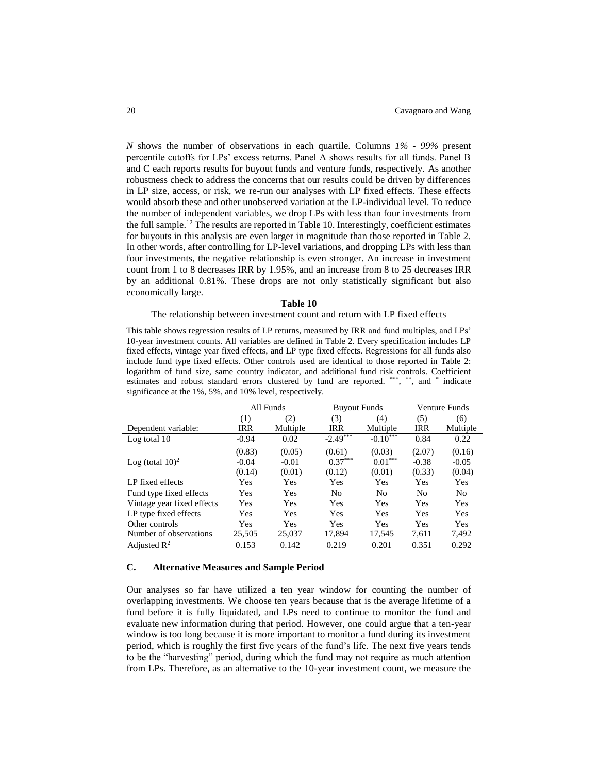*N* shows the number of observations in each quartile. Columns *1% - 99%* present percentile cutoffs for LPs' excess returns. Panel A shows results for all funds. Panel B and C each reports results for buyout funds and venture funds, respectively. As another robustness check to address the concerns that our results could be driven by differences in LP size, access, or risk, we re-run our analyses with LP fixed effects. These effects would absorb these and other unobserved variation at the LP-individual level. To reduce the number of independent variables, we drop LPs with less than four investments from the full sample.<sup>12</sup> The results are reported in Table 10. Interestingly, coefficient estimates for buyouts in this analysis are even larger in magnitude than those reported in Table 2. In other words, after controlling for LP-level variations, and dropping LPs with less than four investments, the negative relationship is even stronger. An increase in investment count from 1 to 8 decreases IRR by 1.95%, and an increase from 8 to 25 decreases IRR by an additional 0.81%. These drops are not only statistically significant but also economically large.

#### **Table 10**

#### The relationship between investment count and return with LP fixed effects

This table shows regression results of LP returns, measured by IRR and fund multiples, and LPs' 10-year investment counts. All variables are defined in Table 2. Every specification includes LP fixed effects, vintage year fixed effects, and LP type fixed effects. Regressions for all funds also include fund type fixed effects. Other controls used are identical to those reported in Table 2: logarithm of fund size, same country indicator, and additional fund risk controls. Coefficient estimates and robust standard errors clustered by fund are reported. \*\*\*, \*\*, and \* indicate significance at the 1%, 5%, and 10% level, respectively.

|                                | All Funds  |            | <b>Buyout Funds</b> |                | <b>Venture Funds</b> |                |
|--------------------------------|------------|------------|---------------------|----------------|----------------------|----------------|
|                                | (1)        | (2)        | (3)                 | (4)            | (5)                  | (6)            |
| Dependent variable:            | <b>IRR</b> | Multiple   | <b>IRR</b>          | Multiple       | <b>IRR</b>           | Multiple       |
| Log total 10                   | $-0.94$    | 0.02       | $-2.49***$          | $-0.10***$     | 0.84                 | 0.22           |
|                                | (0.83)     | (0.05)     | (0.61)              | (0.03)         | (2.07)               | (0.16)         |
| Log (total $10$ ) <sup>2</sup> | $-0.04$    | $-0.01$    | $0.37***$           | $0.01***$      | $-0.38$              | $-0.05$        |
|                                | (0.14)     | (0.01)     | (0.12)              | (0.01)         | (0.33)               | (0.04)         |
| LP fixed effects               | Yes        | Yes        | Yes                 | Yes            | <b>Yes</b>           | <b>Yes</b>     |
| Fund type fixed effects        | <b>Yes</b> | Yes        | N <sub>0</sub>      | N <sub>0</sub> | No                   | N <sub>0</sub> |
| Vintage year fixed effects     | Yes        | Yes        | Yes                 | <b>Yes</b>     | Yes                  | Yes            |
| LP type fixed effects          | Yes        | <b>Yes</b> | Yes                 | <b>Yes</b>     | Yes                  | <b>Yes</b>     |
| Other controls                 | Yes        | Yes        | Yes                 | <b>Yes</b>     | <b>Yes</b>           | <b>Yes</b>     |
| Number of observations         | 25,505     | 25,037     | 17,894              | 17,545         | 7,611                | 7,492          |
| Adjusted $\mathbb{R}^2$        | 0.153      | 0.142      | 0.219               | 0.201          | 0.351                | 0.292          |

#### **C. Alternative Measures and Sample Period**

Our analyses so far have utilized a ten year window for counting the number of overlapping investments. We choose ten years because that is the average lifetime of a fund before it is fully liquidated, and LPs need to continue to monitor the fund and evaluate new information during that period. However, one could argue that a ten-year window is too long because it is more important to monitor a fund during its investment period, which is roughly the first five years of the fund's life. The next five years tends to be the "harvesting" period, during which the fund may not require as much attention from LPs. Therefore, as an alternative to the 10-year investment count, we measure the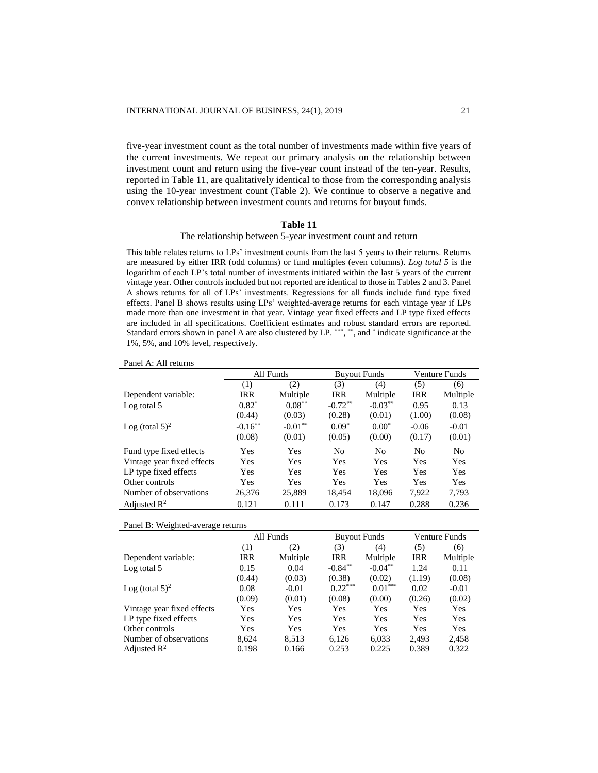five-year investment count as the total number of investments made within five years of the current investments. We repeat our primary analysis on the relationship between investment count and return using the five-year count instead of the ten-year. Results, reported in Table 11, are qualitatively identical to those from the corresponding analysis using the 10-year investment count (Table 2). We continue to observe a negative and convex relationship between investment counts and returns for buyout funds.

# **Table 11**

# The relationship between 5-year investment count and return

This table relates returns to LPs' investment counts from the last 5 years to their returns. Returns are measured by either IRR (odd columns) or fund multiples (even columns). *Log total 5* is the logarithm of each LP's total number of investments initiated within the last 5 years of the current vintage year. Other controls included but not reported are identical to those in Tables 2 and 3. Panel A shows returns for all of LPs' investments. Regressions for all funds include fund type fixed effects. Panel B shows results using LPs' weighted-average returns for each vintage year if LPs made more than one investment in that year. Vintage year fixed effects and LP type fixed effects are included in all specifications. Coefficient estimates and robust standard errors are reported. Standard errors shown in panel A are also clustered by LP. \*\*\*, \*\*, and \* indicate significance at the 1%, 5%, and 10% level, respectively.

| Panel A: All returns |  |
|----------------------|--|
|----------------------|--|

|                            |            | All Funds  |                       | <b>Buyout Funds</b> | Venture Funds  |                |
|----------------------------|------------|------------|-----------------------|---------------------|----------------|----------------|
|                            | (1)        | (2)        | (3)                   | (4)                 | (5)            | (6)            |
| Dependent variable:        | IRR        | Multiple   | IRR                   | Multiple            | <b>IRR</b>     | Multiple       |
| Log total 5                | $0.82*$    | $0.08***$  | $-0.72$ <sup>**</sup> | $-0.03***$          | 0.95           | 0.13           |
|                            | (0.44)     | (0.03)     | (0.28)                | (0.01)              | (1.00)         | (0.08)         |
| Log (total $5)^2$          | $-0.16***$ | $-0.01***$ | $0.09*$               | $0.00*$             | $-0.06$        | $-0.01$        |
|                            | (0.08)     | (0.01)     | (0.05)                | (0.00)              | (0.17)         | (0.01)         |
| Fund type fixed effects    | Yes        | Yes        | No                    | N <sub>0</sub>      | N <sub>0</sub> | N <sub>0</sub> |
| Vintage year fixed effects | Yes        | Yes        | Yes                   | Yes                 | Yes            | Yes            |
| LP type fixed effects      | Yes        | Yes        | Yes                   | Yes                 | Yes            | Yes            |
| Other controls             | Yes        | Yes        | Yes                   | Yes                 | Yes            | Yes            |
| Number of observations     | 26,376     | 25,889     | 18.454                | 18,096              | 7,922          | 7,793          |
| Adjusted $\mathbb{R}^2$    | 0.121      | 0.111      | 0.173                 | 0.147               | 0.288          | 0.236          |

Panel B: Weighted-average returns

|                            |        | All Funds | <b>Buyout Funds</b> |            | Venture Funds |          |
|----------------------------|--------|-----------|---------------------|------------|---------------|----------|
|                            | (1)    | (2)       | (3)                 | (4)        | (5)           | (6)      |
| Dependent variable:        | IRR    | Multiple  | IRR                 | Multiple   | <b>IRR</b>    | Multiple |
| Log total 5                | 0.15   | 0.04      | $-0.84***$          | $-0.04***$ | 1.24          | 0.11     |
|                            | (0.44) | (0.03)    | (0.38)              | (0.02)     | (1.19)        | (0.08)   |
| Log (total $5)^2$          | 0.08   | $-0.01$   | $0.22***$           | $0.01***$  | 0.02          | $-0.01$  |
|                            | (0.09) | (0.01)    | (0.08)              | (0.00)     | (0.26)        | (0.02)   |
| Vintage year fixed effects | Yes    | Yes       | Yes                 | Yes        | Yes           | Yes      |
| LP type fixed effects      | Yes    | Yes       | Yes                 | Yes        | Yes           | Yes      |
| Other controls             | Yes    | Yes       | Yes                 | Yes        | Yes           | Yes      |
| Number of observations     | 8.624  | 8.513     | 6.126               | 6.033      | 2.493         | 2,458    |
| Adjusted $\mathbb{R}^2$    | 0.198  | 0.166     | 0.253               | 0.225      | 0.389         | 0.322    |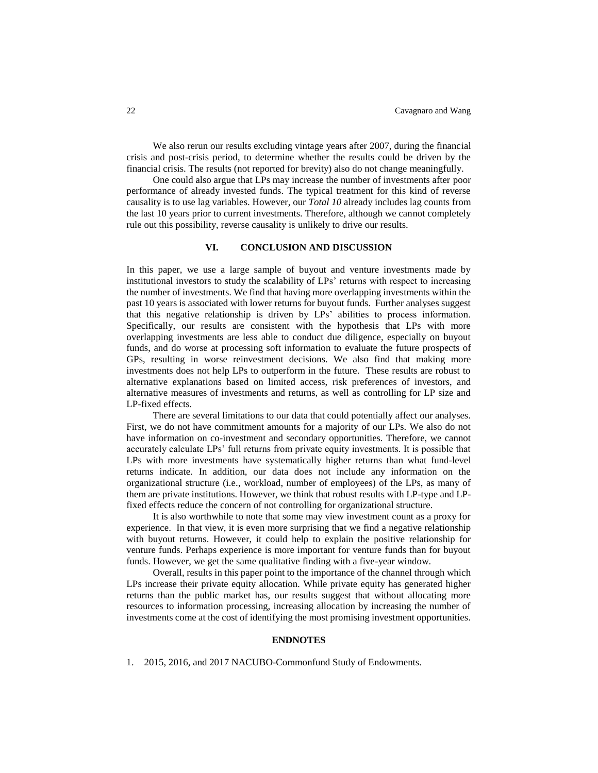We also rerun our results excluding vintage years after 2007, during the financial crisis and post-crisis period, to determine whether the results could be driven by the financial crisis. The results (not reported for brevity) also do not change meaningfully.

One could also argue that LPs may increase the number of investments after poor performance of already invested funds. The typical treatment for this kind of reverse causality is to use lag variables. However, our *Total 10* already includes lag counts from the last 10 years prior to current investments. Therefore, although we cannot completely rule out this possibility, reverse causality is unlikely to drive our results.

# **VI. CONCLUSION AND DISCUSSION**

In this paper, we use a large sample of buyout and venture investments made by institutional investors to study the scalability of LPs' returns with respect to increasing the number of investments. We find that having more overlapping investments within the past 10 years is associated with lower returns for buyout funds. Further analyses suggest that this negative relationship is driven by LPs' abilities to process information. Specifically, our results are consistent with the hypothesis that LPs with more overlapping investments are less able to conduct due diligence, especially on buyout funds, and do worse at processing soft information to evaluate the future prospects of GPs, resulting in worse reinvestment decisions. We also find that making more investments does not help LPs to outperform in the future. These results are robust to alternative explanations based on limited access, risk preferences of investors, and alternative measures of investments and returns, as well as controlling for LP size and LP-fixed effects.

There are several limitations to our data that could potentially affect our analyses. First, we do not have commitment amounts for a majority of our LPs. We also do not have information on co-investment and secondary opportunities. Therefore, we cannot accurately calculate LPs' full returns from private equity investments. It is possible that LPs with more investments have systematically higher returns than what fund-level returns indicate. In addition, our data does not include any information on the organizational structure (i.e., workload, number of employees) of the LPs, as many of them are private institutions. However, we think that robust results with LP-type and LPfixed effects reduce the concern of not controlling for organizational structure.

It is also worthwhile to note that some may view investment count as a proxy for experience. In that view, it is even more surprising that we find a negative relationship with buyout returns. However, it could help to explain the positive relationship for venture funds. Perhaps experience is more important for venture funds than for buyout funds. However, we get the same qualitative finding with a five-year window.

Overall, results in this paper point to the importance of the channel through which LPs increase their private equity allocation. While private equity has generated higher returns than the public market has, our results suggest that without allocating more resources to information processing, increasing allocation by increasing the number of investments come at the cost of identifying the most promising investment opportunities.

# **ENDNOTES**

1. 2015, 2016, and 2017 NACUBO-Commonfund Study of Endowments.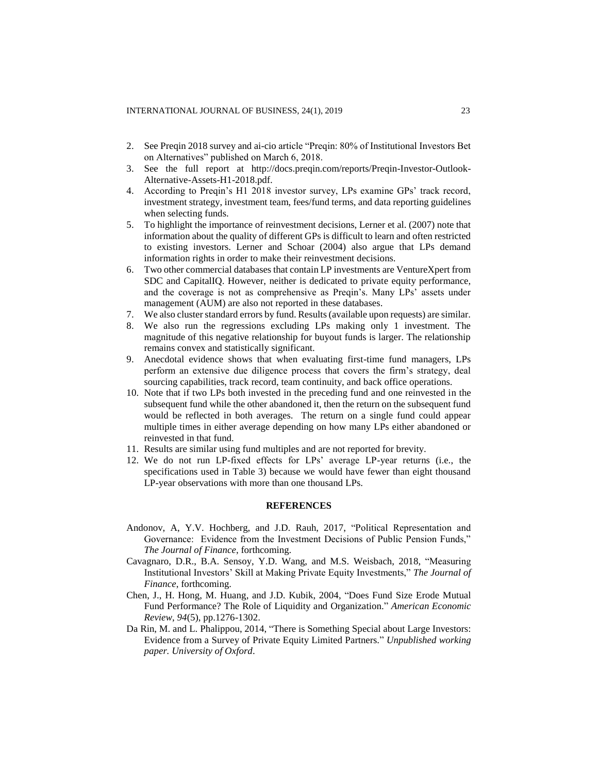- 2. See Preqin 2018 survey and ai-cio article "Preqin: 80% of Institutional Investors Bet on Alternatives" published on March 6, 2018.
- 3. See the full report at [http://docs.preqin.com/reports/Preqin-Investor-Outlook-](http://docs.preqin.com/reports/Preqin-Investor-Outlook-Alternative-Assets-H1-2018.pdf)[Alternative-Assets-H1-2018.pdf.](http://docs.preqin.com/reports/Preqin-Investor-Outlook-Alternative-Assets-H1-2018.pdf)
- 4. According to Preqin's H1 2018 investor survey, LPs examine GPs' track record, investment strategy, investment team, fees/fund terms, and data reporting guidelines when selecting funds.
- 5. To highlight the importance of reinvestment decisions, Lerner et al. (2007) note that information about the quality of different GPs is difficult to learn and often restricted to existing investors. Lerner and Schoar (2004) also argue that LPs demand information rights in order to make their reinvestment decisions.
- 6. Two other commercial databases that contain LP investments are VentureXpert from SDC and CapitalIQ. However, neither is dedicated to private equity performance, and the coverage is not as comprehensive as Preqin's. Many LPs' assets under management (AUM) are also not reported in these databases.
- 7. We also cluster standard errors by fund. Results (available upon requests) are similar.
- 8. We also run the regressions excluding LPs making only 1 investment. The magnitude of this negative relationship for buyout funds is larger. The relationship remains convex and statistically significant.
- 9. Anecdotal evidence shows that when evaluating first-time fund managers, LPs perform an extensive due diligence process that covers the firm's strategy, deal sourcing capabilities, track record, team continuity, and back office operations.
- 10. Note that if two LPs both invested in the preceding fund and one reinvested in the subsequent fund while the other abandoned it, then the return on the subsequent fund would be reflected in both averages. The return on a single fund could appear multiple times in either average depending on how many LPs either abandoned or reinvested in that fund.
- 11. Results are similar using fund multiples and are not reported for brevity.
- 12. We do not run LP-fixed effects for LPs' average LP-year returns (i.e., the specifications used in Table 3) because we would have fewer than eight thousand LP-year observations with more than one thousand LPs.

# **REFERENCES**

- Andonov, A, Y.V. Hochberg, and J.D. Rauh, 2017, "Political Representation and Governance: Evidence from the Investment Decisions of Public Pension Funds," *The Journal of Finance*, forthcoming.
- Cavagnaro, D.R., B.A. Sensoy, Y.D. Wang, and M.S. Weisbach, 2018, "Measuring Institutional Investors' Skill at Making Private Equity Investments," *The Journal of Finance*, forthcoming.
- Chen, J., H. Hong, M. Huang, and J.D. Kubik, 2004, "Does Fund Size Erode Mutual Fund Performance? The Role of Liquidity and Organization." *American Economic Review*, *94*(5), pp.1276-1302.
- Da Rin, M. and L. Phalippou, 2014, "There is Something Special about Large Investors: Evidence from a Survey of Private Equity Limited Partners." *Unpublished working paper. University of Oxford*.